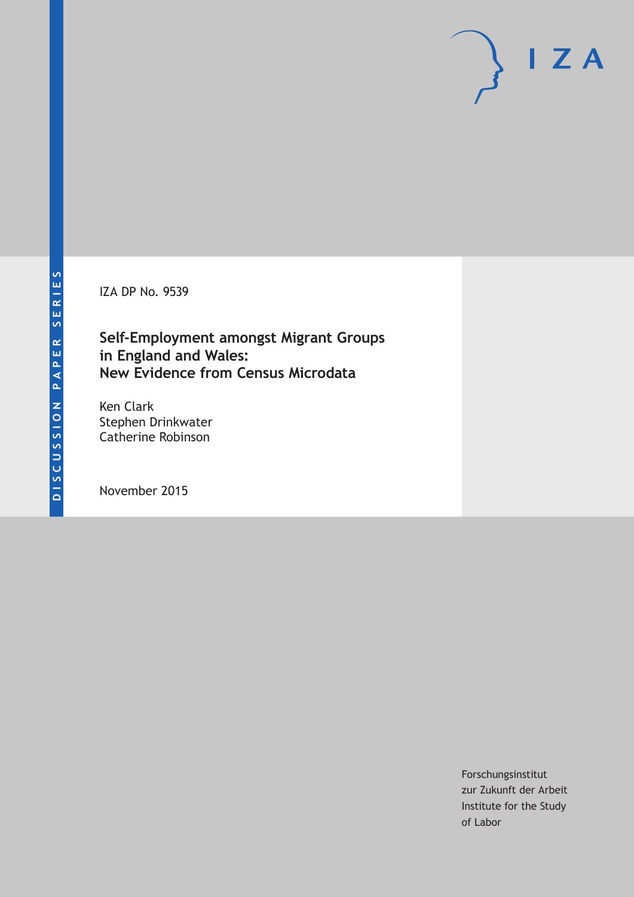IZA DP No. 9539

**Self‐Employment amongst Migrant Groups in England and Wales: New Evidence from Census Microdata**

Ken Clark Stephen Drinkwater Catherine Robinson

November 2015

Forschungsinstitut zur Zukunft der Arbeit Institute for the Study of Labor

 $I Z A$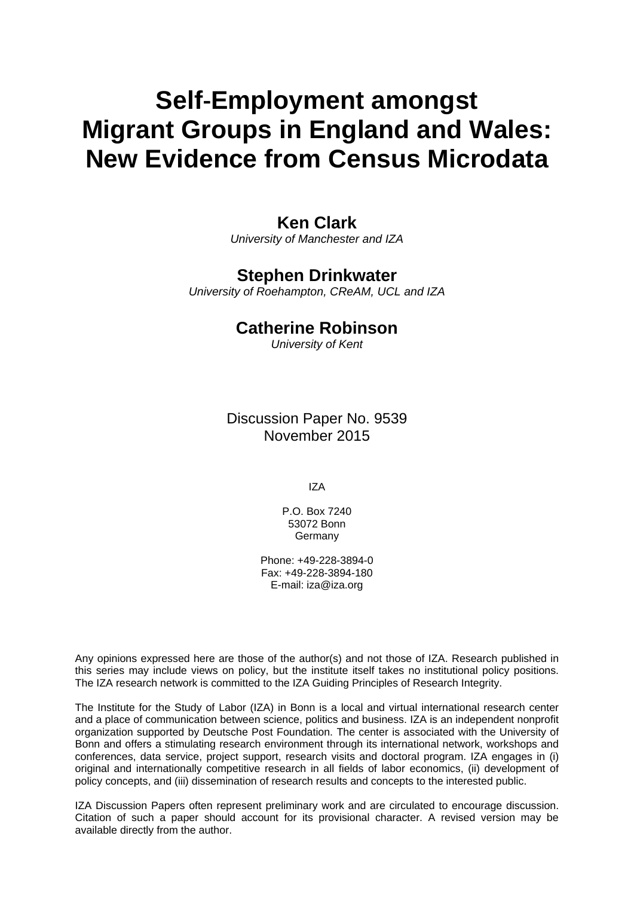# **Self**‐**Employment amongst Migrant Groups in England and Wales: New Evidence from Census Microdata**

# **Ken Clark**

*University of Manchester and IZA* 

# **Stephen Drinkwater**

*University of Roehampton, CReAM, UCL and IZA* 

# **Catherine Robinson**

*University of Kent*

Discussion Paper No. 9539 November 2015

IZA

P.O. Box 7240 53072 Bonn **Germany** 

Phone: +49-228-3894-0 Fax: +49-228-3894-180 E-mail: iza@iza.org

Any opinions expressed here are those of the author(s) and not those of IZA. Research published in this series may include views on policy, but the institute itself takes no institutional policy positions. The IZA research network is committed to the IZA Guiding Principles of Research Integrity.

The Institute for the Study of Labor (IZA) in Bonn is a local and virtual international research center and a place of communication between science, politics and business. IZA is an independent nonprofit organization supported by Deutsche Post Foundation. The center is associated with the University of Bonn and offers a stimulating research environment through its international network, workshops and conferences, data service, project support, research visits and doctoral program. IZA engages in (i) original and internationally competitive research in all fields of labor economics, (ii) development of policy concepts, and (iii) dissemination of research results and concepts to the interested public.

IZA Discussion Papers often represent preliminary work and are circulated to encourage discussion. Citation of such a paper should account for its provisional character. A revised version may be available directly from the author.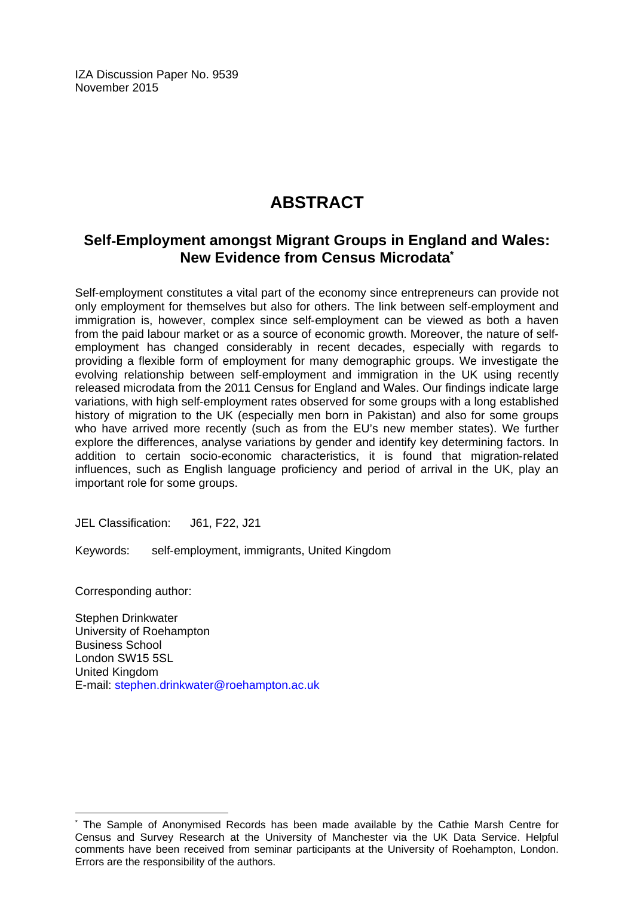IZA Discussion Paper No. 9539 November 2015

# **ABSTRACT**

# **Self**‐**Employment amongst Migrant Groups in England and Wales: New Evidence from Census Microdata\***

Self-employment constitutes a vital part of the economy since entrepreneurs can provide not only employment for themselves but also for others. The link between self-employment and immigration is, however, complex since self-employment can be viewed as both a haven from the paid labour market or as a source of economic growth. Moreover, the nature of selfemployment has changed considerably in recent decades, especially with regards to providing a flexible form of employment for many demographic groups. We investigate the evolving relationship between self‐employment and immigration in the UK using recently released microdata from the 2011 Census for England and Wales. Our findings indicate large variations, with high self‐employment rates observed for some groups with a long established history of migration to the UK (especially men born in Pakistan) and also for some groups who have arrived more recently (such as from the EU's new member states). We further explore the differences, analyse variations by gender and identify key determining factors. In addition to certain socio‐economic characteristics, it is found that migration‐related influences, such as English language proficiency and period of arrival in the UK, play an important role for some groups.

JEL Classification: J61, F22, J21

Keywords: self‐employment, immigrants, United Kingdom

Corresponding author:

 $\overline{\phantom{a}}$ 

Stephen Drinkwater University of Roehampton Business School London SW15 5SL United Kingdom E-mail: stephen.drinkwater@roehampton.ac.uk

<sup>\*</sup> The Sample of Anonymised Records has been made available by the Cathie Marsh Centre for Census and Survey Research at the University of Manchester via the UK Data Service. Helpful comments have been received from seminar participants at the University of Roehampton, London. Errors are the responsibility of the authors.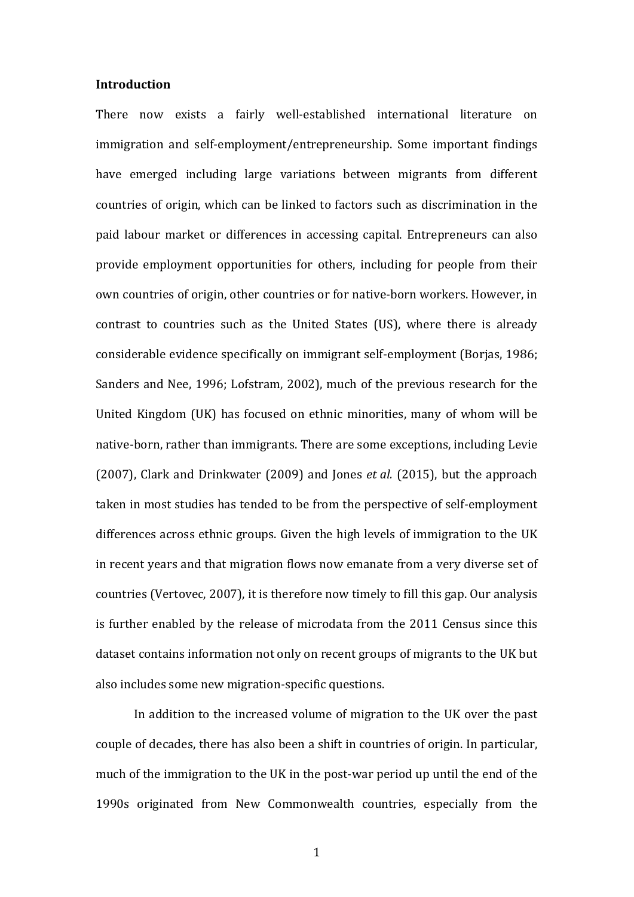#### **Introduction**

There now exists a fairly well-established international literature on immigration and self-employment/entrepreneurship. Some important findings have emerged including large variations between migrants from different countries of origin, which can be linked to factors such as discrimination in the paid labour market or differences in accessing capital. Entrepreneurs can also provide employment opportunities for others, including for people from their own countries of origin, other countries or for native-born workers. However, in contrast to countries such as the United States (US), where there is already considerable evidence specifically on immigrant self-employment (Borjas, 1986; Sanders and Nee, 1996; Lofstram, 2002), much of the previous research for the United Kingdom (UK) has focused on ethnic minorities, many of whom will be native-born, rather than immigrants. There are some exceptions, including Levie (2007), Clark and Drinkwater (2009) and Jones *et al.* (2015), but the approach taken in most studies has tended to be from the perspective of self-employment differences across ethnic groups. Given the high levels of immigration to the UK in recent years and that migration flows now emanate from a very diverse set of countries (Vertovec, 2007), it is therefore now timely to fill this gap. Our analysis is further enabled by the release of microdata from the 2011 Census since this dataset contains information not only on recent groups of migrants to the UK but also includes some new migration-specific questions.

In addition to the increased volume of migration to the UK over the past couple of decades, there has also been a shift in countries of origin. In particular, much of the immigration to the UK in the post-war period up until the end of the 1990s originated from New Commonwealth countries, especially from the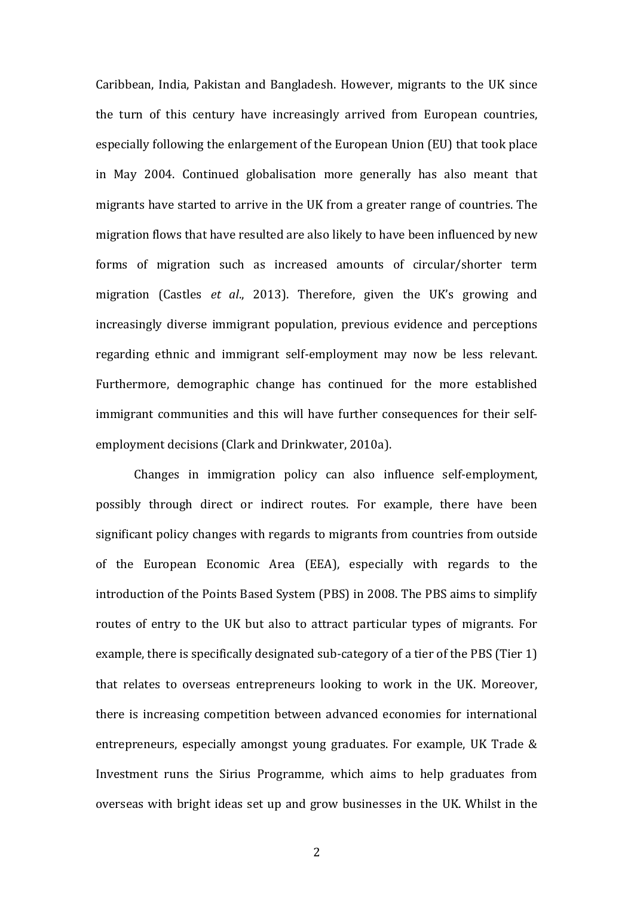Caribbean, India, Pakistan and Bangladesh. However, migrants to the UK since the turn of this century have increasingly arrived from European countries, especially following the enlargement of the European Union (EU) that took place in May 2004. Continued globalisation more generally has also meant that migrants have started to arrive in the UK from a greater range of countries. The migration flows that have resulted are also likely to have been influenced by new forms of migration such as increased amounts of circular/shorter term migration (Castles *et al.*, 2013). Therefore, given the UK's growing and increasingly diverse immigrant population, previous evidence and perceptions regarding ethnic and immigrant self-employment may now be less relevant. Furthermore, demographic change has continued for the more established immigrant communities and this will have further consequences for their selfemployment decisions (Clark and Drinkwater, 2010a).

Changes in immigration policy can also influence self-employment, possibly through direct or indirect routes. For example, there have been significant policy changes with regards to migrants from countries from outside of the European Economic Area (EEA), especially with regards to the introduction of the Points Based System (PBS) in 2008. The PBS aims to simplify routes of entry to the UK but also to attract particular types of migrants. For example, there is specifically designated sub-category of a tier of the PBS (Tier 1) that relates to overseas entrepreneurs looking to work in the UK. Moreover, there is increasing competition between advanced economies for international entrepreneurs, especially amongst young graduates. For example, UK Trade  $\&$ Investment runs the Sirius Programme, which aims to help graduates from overseas with bright ideas set up and grow businesses in the UK. Whilst in the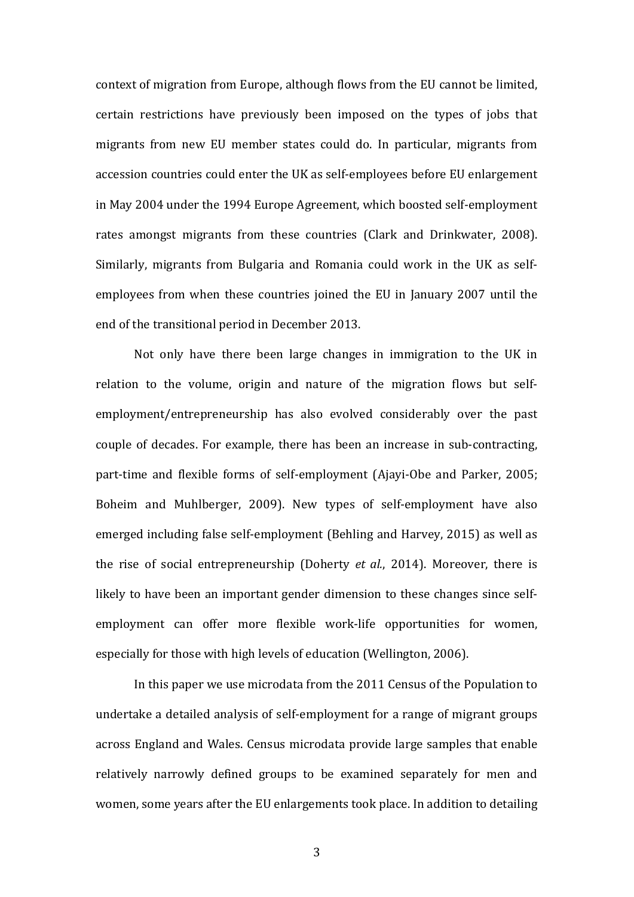context of migration from Europe, although flows from the EU cannot be limited, certain restrictions have previously been imposed on the types of jobs that migrants from new EU member states could do. In particular, migrants from accession countries could enter the UK as self-employees before EU enlargement in May 2004 under the 1994 Europe Agreement, which boosted self-employment rates amongst migrants from these countries (Clark and Drinkwater, 2008). Similarly, migrants from Bulgaria and Romania could work in the UK as selfemployees from when these countries joined the EU in January 2007 until the end of the transitional period in December 2013.

Not only have there been large changes in immigration to the UK in relation to the volume, origin and nature of the migration flows but selfemployment/entrepreneurship has also evolved considerably over the past couple of decades. For example, there has been an increase in sub-contracting, part-time and flexible forms of self-employment (Ajayi-Obe and Parker, 2005; Boheim and Muhlberger, 2009). New types of self-employment have also emerged including false self-employment (Behling and Harvey, 2015) as well as the rise of social entrepreneurship (Doherty *et al.*, 2014). Moreover, there is likely to have been an important gender dimension to these changes since selfemployment can offer more flexible work-life opportunities for women, especially for those with high levels of education (Wellington, 2006).

In this paper we use microdata from the 2011 Census of the Population to undertake a detailed analysis of self-employment for a range of migrant groups across England and Wales. Census microdata provide large samples that enable relatively narrowly defined groups to be examined separately for men and women, some years after the EU enlargements took place. In addition to detailing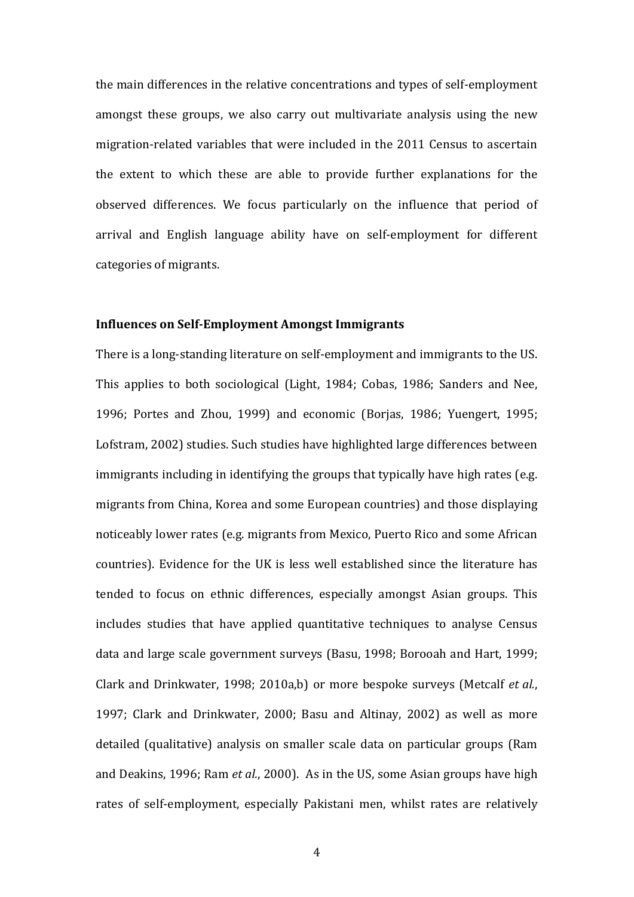the main differences in the relative concentrations and types of self-employment amongst these groups, we also carry out multivariate analysis using the new migration-related variables that were included in the 2011 Census to ascertain the extent to which these are able to provide further explanations for the observed differences. We focus particularly on the influence that period of arrival and English language ability have on self-employment for different categories of migrants.

#### **Influences on Self‐Employment Amongst Immigrants**

There is a long-standing literature on self-employment and immigrants to the US. This applies to both sociological (Light, 1984; Cobas, 1986; Sanders and Nee, 1996; Portes and Zhou, 1999) and economic (Borjas, 1986; Yuengert, 1995; Lofstram, 2002) studies. Such studies have highlighted large differences between immigrants including in identifying the groups that typically have high rates (e.g. migrants from China, Korea and some European countries) and those displaying noticeably lower rates (e.g. migrants from Mexico, Puerto Rico and some African countries). Evidence for the UK is less well established since the literature has tended to focus on ethnic differences, especially amongst Asian groups. This includes studies that have applied quantitative techniques to analyse Census data and large scale government surveys (Basu, 1998; Borooah and Hart, 1999; Clark and Drinkwater, 1998; 2010a,b) or more bespoke surveys (Metcalf *et al.*, 1997; Clark and Drinkwater, 2000; Basu and Altinay, 2002) as well as more detailed (qualitative) analysis on smaller scale data on particular groups (Ram and Deakins, 1996; Ram *et al.*, 2000). As in the US, some Asian groups have high rates of self-employment, especially Pakistani men, whilst rates are relatively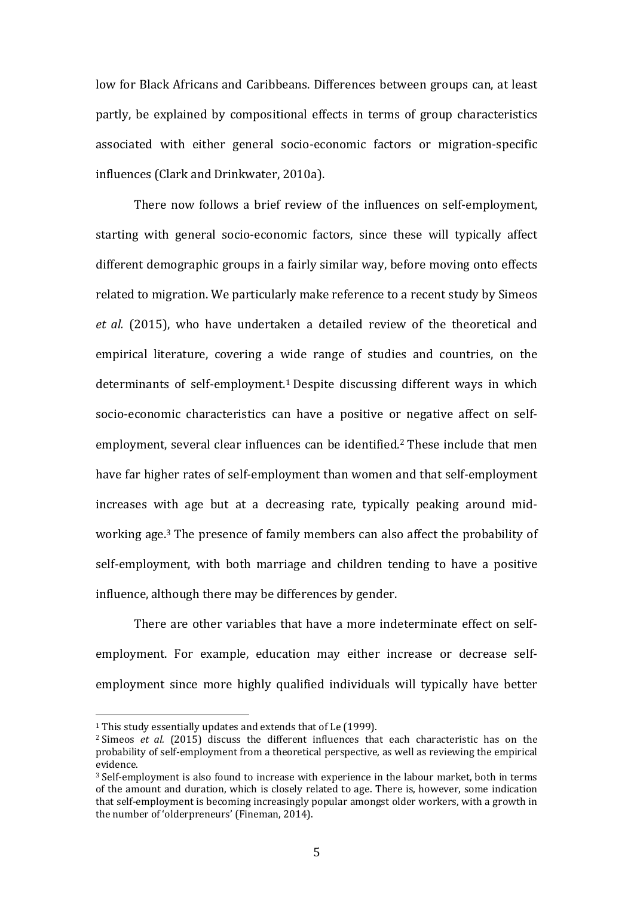low for Black Africans and Caribbeans. Differences between groups can, at least partly, be explained by compositional effects in terms of group characteristics associated with either general socio-economic factors or migration-specific influences (Clark and Drinkwater, 2010a).

There now follows a brief review of the influences on self-employment, starting with general socio-economic factors, since these will typically affect different demographic groups in a fairly similar way, before moving onto effects related to migration. We particularly make reference to a recent study by Simeos *et al.* (2015), who have undertaken a detailed review of the theoretical and empirical literature, covering a wide range of studies and countries, on the determinants of self-employment.<sup>1</sup> Despite discussing different ways in which socio-economic characteristics can have a positive or negative affect on selfemployment, several clear influences can be identified.<sup>2</sup> These include that men have far higher rates of self-employment than women and that self-employment increases with age but at a decreasing rate, typically peaking around midworking age.<sup>3</sup> The presence of family members can also affect the probability of self-employment, with both marriage and children tending to have a positive influence, although there may be differences by gender.

There are other variables that have a more indeterminate effect on selfemployment. For example, education may either increase or decrease selfemployment since more highly qualified individuals will typically have better

 $1$  This study essentially updates and extends that of Le (1999).

<sup>&</sup>lt;sup>2</sup> Simeos *et al.* (2015) discuss the different influences that each characteristic has on the probability of self-employment from a theoretical perspective, as well as reviewing the empirical evidence. 

 $3$  Self-employment is also found to increase with experience in the labour market, both in terms of the amount and duration, which is closely related to age. There is, however, some indication that self-employment is becoming increasingly popular amongst older workers, with a growth in the number of 'olderpreneurs' (Fineman, 2014).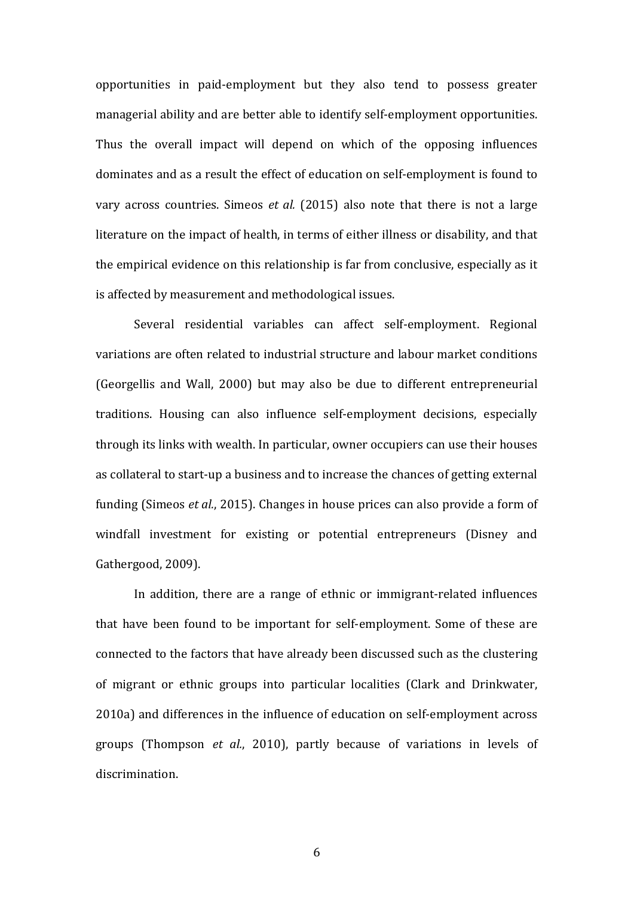opportunities in paid-employment but they also tend to possess greater managerial ability and are better able to identify self-employment opportunities. Thus the overall impact will depend on which of the opposing influences dominates and as a result the effect of education on self-employment is found to vary across countries. Simeos *et al.* (2015) also note that there is not a large literature on the impact of health, in terms of either illness or disability, and that the empirical evidence on this relationship is far from conclusive, especially as it is affected by measurement and methodological issues.

Several residential variables can affect self-employment. Regional variations are often related to industrial structure and labour market conditions (Georgellis and Wall, 2000) but may also be due to different entrepreneurial traditions. Housing can also influence self-employment decisions, especially through its links with wealth. In particular, owner occupiers can use their houses as collateral to start-up a business and to increase the chances of getting external funding (Simeos *et al.*, 2015). Changes in house prices can also provide a form of windfall investment for existing or potential entrepreneurs (Disney and Gathergood, 2009).

In addition, there are a range of ethnic or immigrant-related influences that have been found to be important for self-employment. Some of these are connected to the factors that have already been discussed such as the clustering of migrant or ethnic groups into particular localities (Clark and Drinkwater, 2010a) and differences in the influence of education on self-employment across groups (Thompson *et al.*, 2010), partly because of variations in levels of discrimination.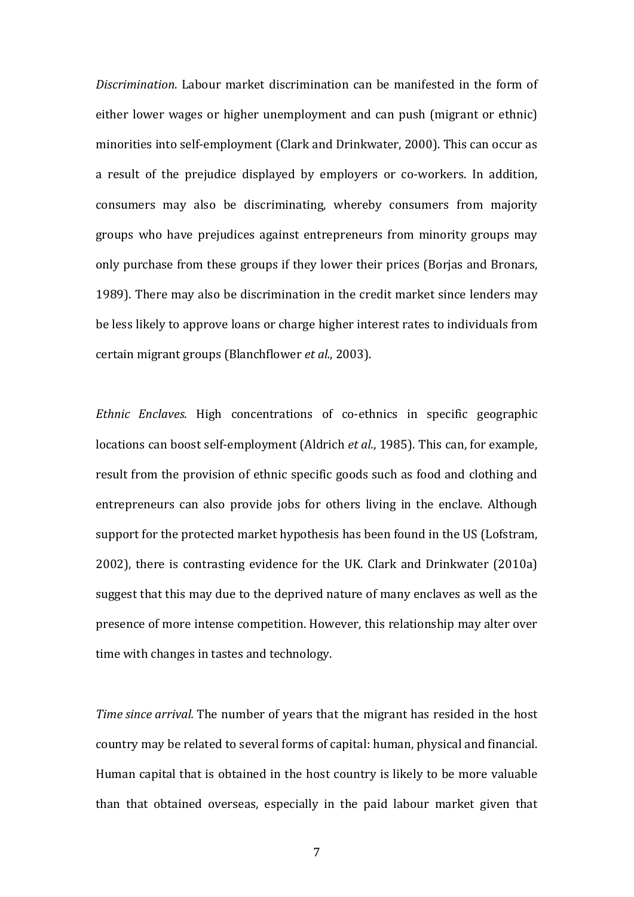*Discrimination*. Labour market discrimination can be manifested in the form of either lower wages or higher unemployment and can push (migrant or ethnic) minorities into self-employment (Clark and Drinkwater, 2000). This can occur as a result of the prejudice displayed by employers or co-workers. In addition, consumers may also be discriminating, whereby consumers from majority groups who have prejudices against entrepreneurs from minority groups may only purchase from these groups if they lower their prices (Borjas and Bronars, 1989). There may also be discrimination in the credit market since lenders may be less likely to approve loans or charge higher interest rates to individuals from certain migrant groups (Blanchflower *et al.*, 2003).

*Ethnic Enclaves*. High concentrations of co-ethnics in specific geographic locations can boost self-employment (Aldrich *et al.*, 1985). This can, for example, result from the provision of ethnic specific goods such as food and clothing and entrepreneurs can also provide jobs for others living in the enclave. Although support for the protected market hypothesis has been found in the US (Lofstram, 2002), there is contrasting evidence for the UK. Clark and Drinkwater (2010a) suggest that this may due to the deprived nature of many enclaves as well as the presence of more intense competition. However, this relationship may alter over time with changes in tastes and technology.

*Time since arrival*. The number of years that the migrant has resided in the host country may be related to several forms of capital: human, physical and financial. Human capital that is obtained in the host country is likely to be more valuable than that obtained overseas, especially in the paid labour market given that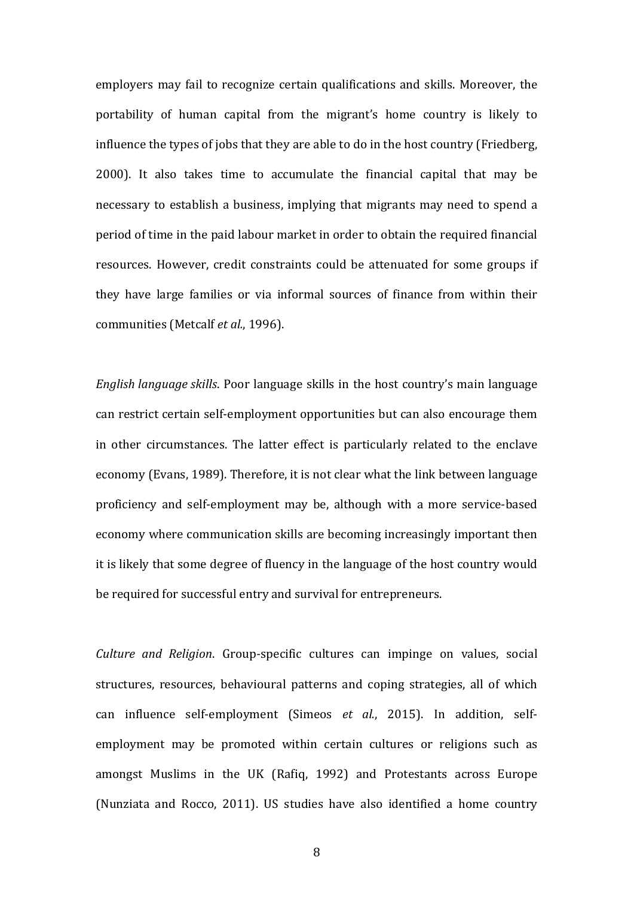employers may fail to recognize certain qualifications and skills. Moreover, the portability of human capital from the migrant's home country is likely to influence the types of jobs that they are able to do in the host country (Friedberg, 2000). It also takes time to accumulate the financial capital that may be necessary to establish a business, implying that migrants may need to spend a period of time in the paid labour market in order to obtain the required financial resources. However, credit constraints could be attenuated for some groups if they have large families or via informal sources of finance from within their communities (Metcalf *et al.*, 1996).

*English language skills*. Poor language skills in the host country's main language can restrict certain self-employment opportunities but can also encourage them in other circumstances. The latter effect is particularly related to the enclave economy (Evans, 1989). Therefore, it is not clear what the link between language proficiency and self‐employment may be, although with a more service‐based economy where communication skills are becoming increasingly important then it is likely that some degree of fluency in the language of the host country would be required for successful entry and survival for entrepreneurs.

*Culture and Religion*. Group‐specific cultures can impinge on values, social structures, resources, behavioural patterns and coping strategies, all of which can influence self-employment (Simeos *et al.*, 2015). In addition, selfemployment may be promoted within certain cultures or religions such as amongst Muslims in the UK (Rafiq, 1992) and Protestants across Europe (Nunziata and Rocco, 2011). US studies have also identified a home country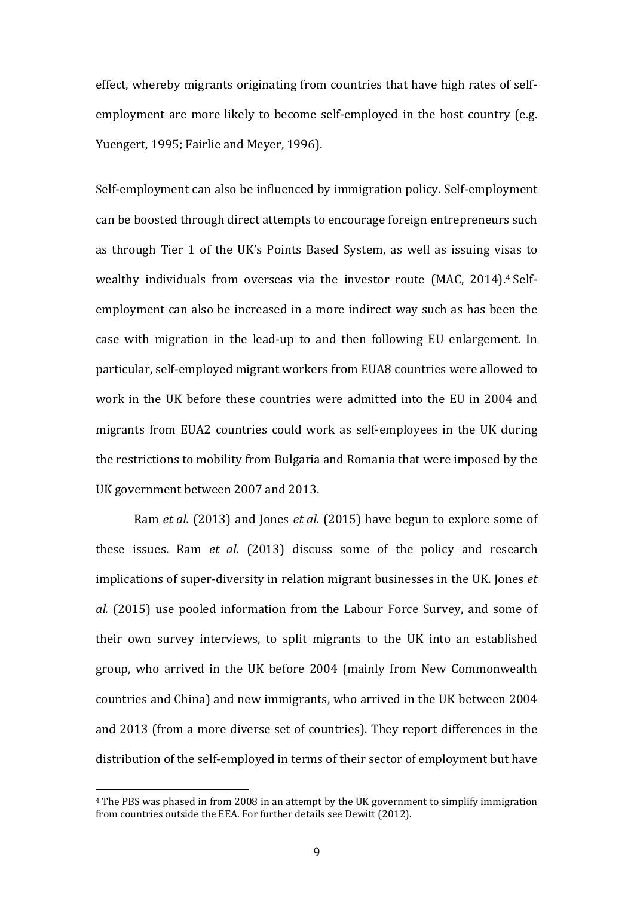effect, whereby migrants originating from countries that have high rates of selfemployment are more likely to become self-employed in the host country (e.g. Yuengert, 1995; Fairlie and Meyer, 1996).

Self-employment can also be influenced by immigration policy. Self-employment can be boosted through direct attempts to encourage foreign entrepreneurs such as through Tier 1 of the UK's Points Based System, as well as issuing visas to wealthy individuals from overseas via the investor route (MAC, 2014).<sup>4</sup> Selfemployment can also be increased in a more indirect way such as has been the case with migration in the lead-up to and then following EU enlargement. In particular, self-employed migrant workers from EUA8 countries were allowed to work in the UK before these countries were admitted into the EU in 2004 and migrants from EUA2 countries could work as self-employees in the UK during the restrictions to mobility from Bulgaria and Romania that were imposed by the UK government between 2007 and 2013.

Ram *et al.* (2013) and Jones *et al.* (2015) have begun to explore some of these issues. Ram *et al.* (2013) discuss some of the policy and research implications of super-diversity in relation migrant businesses in the UK. Iones *et al.* (2015) use pooled information from the Labour Force Survey, and some of their own survey interviews, to split migrants to the UK into an established group, who arrived in the UK before 2004 (mainly from New Commonwealth countries and China) and new immigrants, who arrived in the UK between 2004 and 2013 (from a more diverse set of countries). They report differences in the distribution of the self-employed in terms of their sector of employment but have

<sup>&</sup>lt;sup>4</sup> The PBS was phased in from 2008 in an attempt by the UK government to simplify immigration from countries outside the EEA. For further details see Dewitt (2012).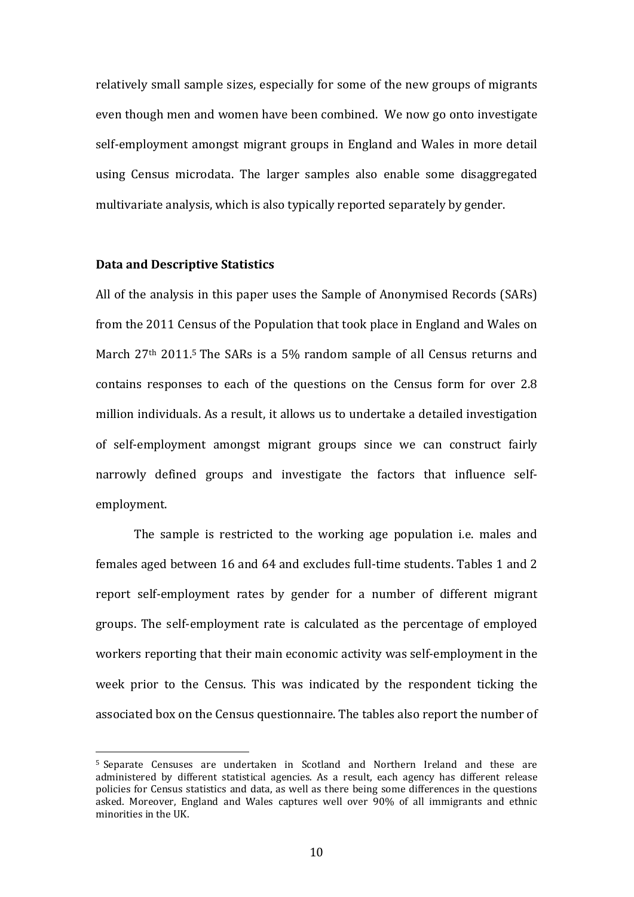relatively small sample sizes, especially for some of the new groups of migrants even though men and women have been combined. We now go onto investigate self-employment amongst migrant groups in England and Wales in more detail using Census microdata. The larger samples also enable some disaggregated multivariate analysis, which is also typically reported separately by gender.

#### **Data and Descriptive Statistics**

 

All of the analysis in this paper uses the Sample of Anonymised Records (SARs) from the 2011 Census of the Population that took place in England and Wales on March  $27<sup>th</sup>$  2011.<sup>5</sup> The SARs is a 5% random sample of all Census returns and contains responses to each of the questions on the Census form for over 2.8 million individuals. As a result, it allows us to undertake a detailed investigation of self-employment amongst migrant groups since we can construct fairly narrowly defined groups and investigate the factors that influence selfemployment. 

The sample is restricted to the working age population *i.e.* males and females aged between 16 and 64 and excludes full-time students. Tables 1 and 2 report self-employment rates by gender for a number of different migrant groups. The self-employment rate is calculated as the percentage of employed workers reporting that their main economic activity was self-employment in the week prior to the Census. This was indicated by the respondent ticking the associated box on the Census questionnaire. The tables also report the number of

<sup>&</sup>lt;sup>5</sup> Separate Censuses are undertaken in Scotland and Northern Ireland and these are administered by different statistical agencies. As a result, each agency has different release policies for Census statistics and data, as well as there being some differences in the questions asked. Moreover, England and Wales captures well over 90% of all immigrants and ethnic minorities in the UK.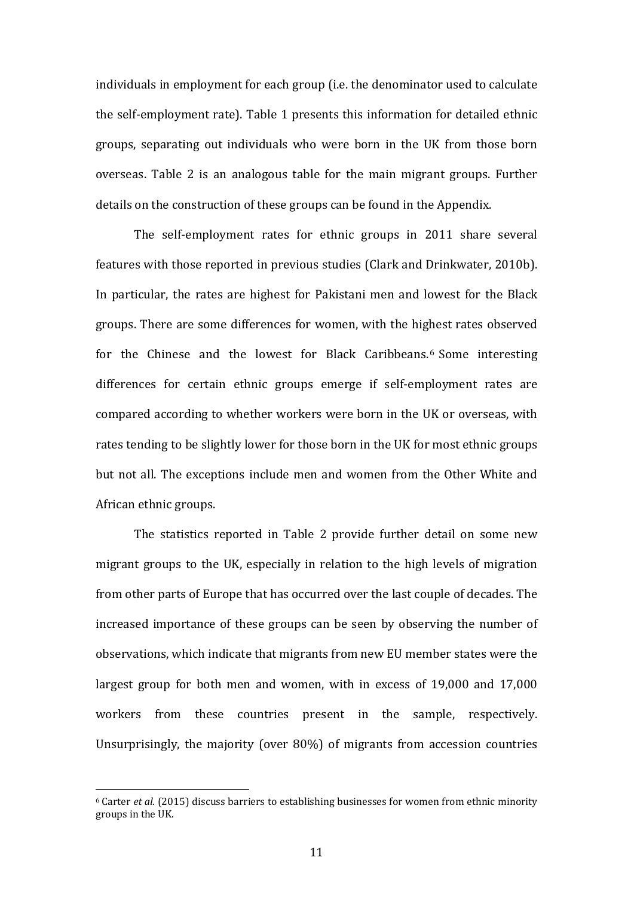individuals in employment for each group (i.e. the denominator used to calculate the self-employment rate). Table 1 presents this information for detailed ethnic groups, separating out individuals who were born in the UK from those born overseas. Table 2 is an analogous table for the main migrant groups. Further details on the construction of these groups can be found in the Appendix.

The self-employment rates for ethnic groups in 2011 share several features with those reported in previous studies (Clark and Drinkwater, 2010b). In particular, the rates are highest for Pakistani men and lowest for the Black groups. There are some differences for women, with the highest rates observed for the Chinese and the lowest for Black Caribbeans.<sup>6</sup> Some interesting differences for certain ethnic groups emerge if self-employment rates are compared according to whether workers were born in the UK or overseas, with rates tending to be slightly lower for those born in the UK for most ethnic groups but not all. The exceptions include men and women from the Other White and African ethnic groups.

The statistics reported in Table 2 provide further detail on some new migrant groups to the UK, especially in relation to the high levels of migration from other parts of Europe that has occurred over the last couple of decades. The increased importance of these groups can be seen by observing the number of observations, which indicate that migrants from new EU member states were the largest group for both men and women, with in excess of  $19,000$  and  $17,000$ workers from these countries present in the sample, respectively. Unsurprisingly, the majority (over  $80\%$ ) of migrants from accession countries

 $6$  Carter *et al.* (2015) discuss barriers to establishing businesses for women from ethnic minority groups in the UK.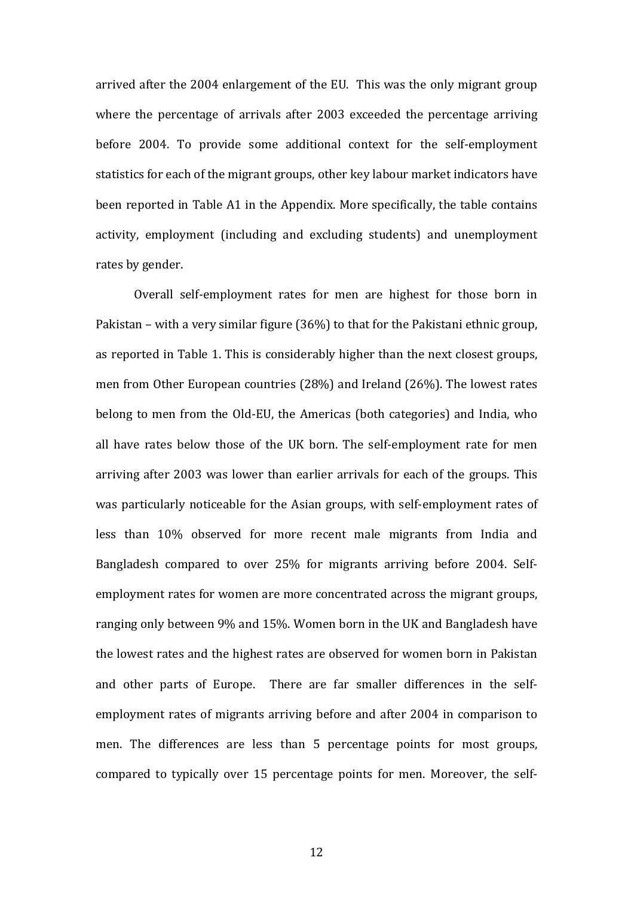arrived after the 2004 enlargement of the EU. This was the only migrant group where the percentage of arrivals after 2003 exceeded the percentage arriving before 2004. To provide some additional context for the self-employment statistics for each of the migrant groups, other key labour market indicators have been reported in Table A1 in the Appendix. More specifically, the table contains activity, employment (including and excluding students) and unemployment rates by gender.

Overall self-employment rates for men are highest for those born in Pakistan – with a very similar figure  $(36%)$  to that for the Pakistani ethnic group, as reported in Table 1. This is considerably higher than the next closest groups, men from Other European countries  $(28%)$  and Ireland  $(26%)$ . The lowest rates belong to men from the Old-EU, the Americas (both categories) and India, who all have rates below those of the UK born. The self-employment rate for men arriving after 2003 was lower than earlier arrivals for each of the groups. This was particularly noticeable for the Asian groups, with self-employment rates of less than 10% observed for more recent male migrants from India and Bangladesh compared to over 25% for migrants arriving before 2004. Selfemployment rates for women are more concentrated across the migrant groups, ranging only between 9% and 15%. Women born in the UK and Bangladesh have the lowest rates and the highest rates are observed for women born in Pakistan and other parts of Europe. There are far smaller differences in the selfemployment rates of migrants arriving before and after 2004 in comparison to men. The differences are less than 5 percentage points for most groups, compared to typically over 15 percentage points for men. Moreover, the self-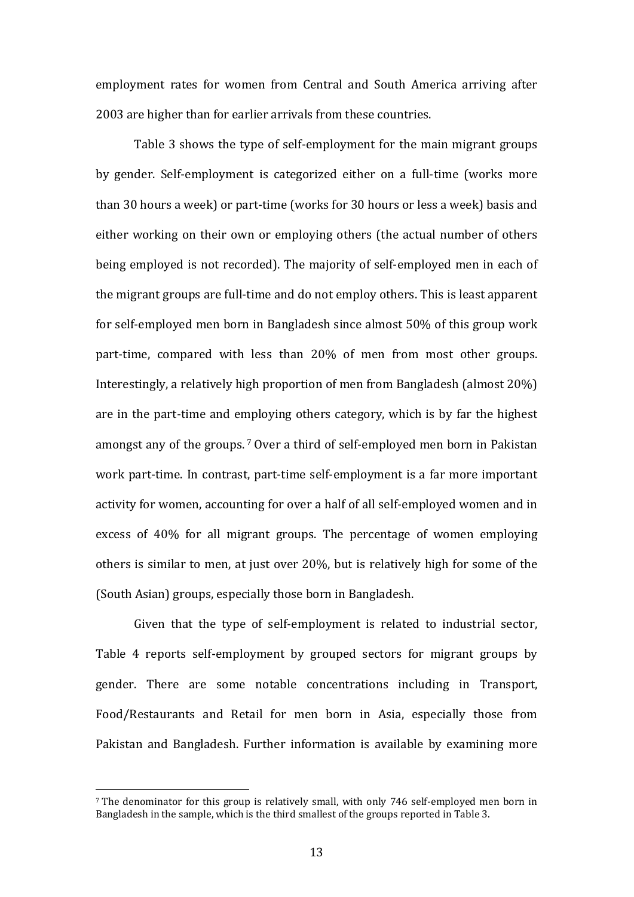employment rates for women from Central and South America arriving after 2003 are higher than for earlier arrivals from these countries.

Table 3 shows the type of self-employment for the main migrant groups by gender. Self-employment is categorized either on a full-time (works more than 30 hours a week) or part-time (works for 30 hours or less a week) basis and either working on their own or employing others (the actual number of others being employed is not recorded). The majority of self-employed men in each of the migrant groups are full-time and do not employ others. This is least apparent for self-employed men born in Bangladesh since almost 50% of this group work part-time, compared with less than 20% of men from most other groups. Interestingly, a relatively high proportion of men from Bangladesh (almost 20%) are in the part-time and employing others category, which is by far the highest amongst any of the groups.<sup>7</sup> Over a third of self-employed men born in Pakistan work part-time. In contrast, part-time self-employment is a far more important activity for women, accounting for over a half of all self-employed women and in excess of 40% for all migrant groups. The percentage of women employing others is similar to men, at just over 20%, but is relatively high for some of the (South Asian) groups, especially those born in Bangladesh.

Given that the type of self-employment is related to industrial sector, Table 4 reports self-employment by grouped sectors for migrant groups by gender. There are some notable concentrations including in Transport, Food/Restaurants and Retail for men born in Asia, especially those from Pakistan and Bangladesh. Further information is available by examining more

 $\frac{7}{10}$  The denominator for this group is relatively small, with only 746 self-employed men born in Bangladesh in the sample, which is the third smallest of the groups reported in Table 3.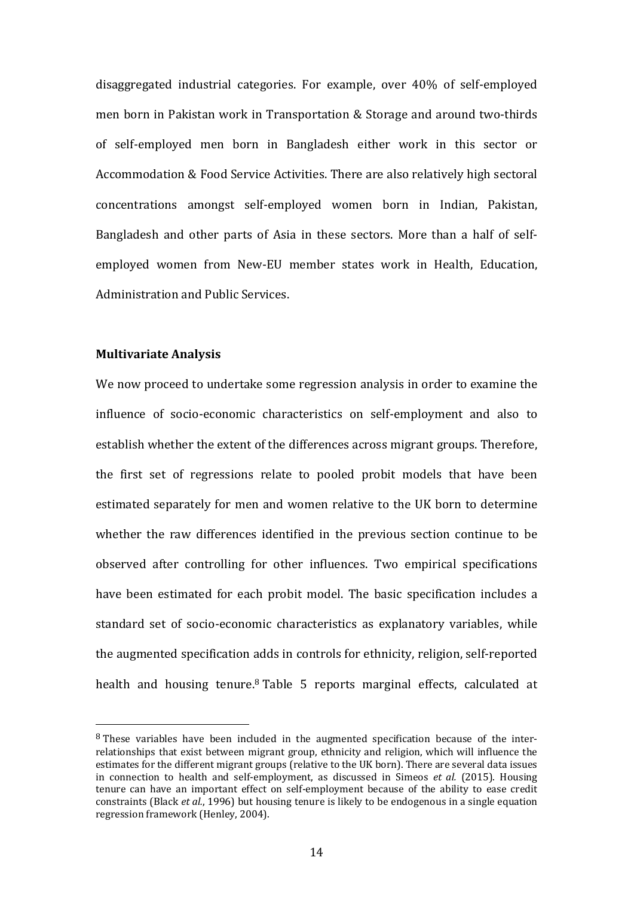disaggregated industrial categories. For example, over 40% of self-employed men born in Pakistan work in Transportation & Storage and around two-thirds of self-employed men born in Bangladesh either work in this sector or Accommodation & Food Service Activities. There are also relatively high sectoral concentrations amongst self-employed women born in Indian, Pakistan, Bangladesh and other parts of Asia in these sectors. More than a half of selfemployed women from New-EU member states work in Health, Education, Administration and Public Services.

#### **Multivariate Analysis**

 

We now proceed to undertake some regression analysis in order to examine the influence of socio-economic characteristics on self-employment and also to establish whether the extent of the differences across migrant groups. Therefore, the first set of regressions relate to pooled probit models that have been estimated separately for men and women relative to the UK born to determine whether the raw differences identified in the previous section continue to be observed after controlling for other influences. Two empirical specifications have been estimated for each probit model. The basic specification includes a standard set of socio-economic characteristics as explanatory variables, while the augmented specification adds in controls for ethnicity, religion, self-reported health and housing tenure.<sup>8</sup> Table 5 reports marginal effects, calculated at

 $8$  These variables have been included in the augmented specification because of the interrelationships that exist between migrant group, ethnicity and religion, which will influence the estimates for the different migrant groups (relative to the UK born). There are several data issues in connection to health and self-employment, as discussed in Simeos *et al.* (2015). Housing tenure can have an important effect on self-employment because of the ability to ease credit constraints (Black *et al.*, 1996) but housing tenure is likely to be endogenous in a single equation regression framework (Henley, 2004).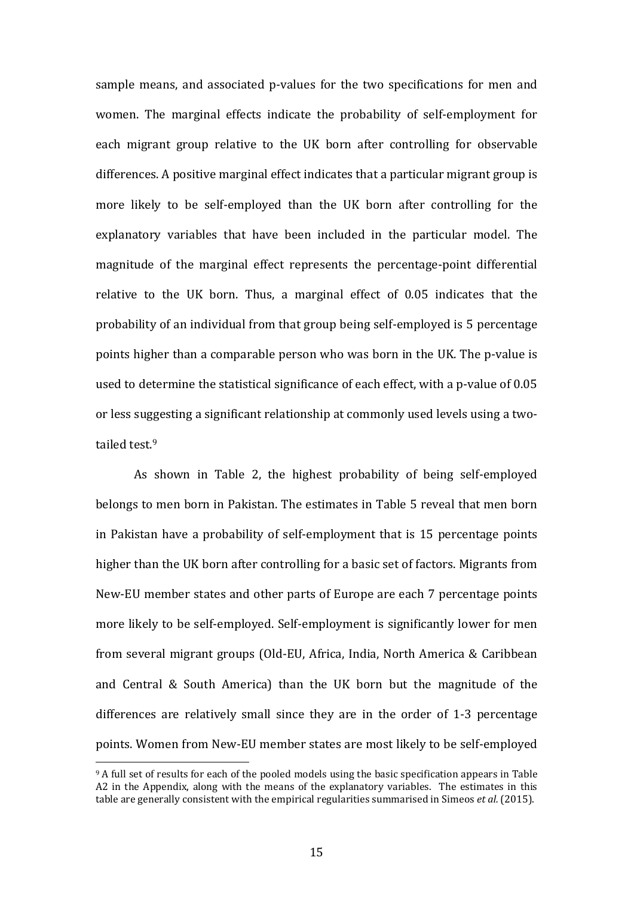sample means, and associated p-values for the two specifications for men and women. The marginal effects indicate the probability of self-employment for each migrant group relative to the UK born after controlling for observable differences. A positive marginal effect indicates that a particular migrant group is more likely to be self-employed than the UK born after controlling for the explanatory variables that have been included in the particular model. The magnitude of the marginal effect represents the percentage-point differential relative to the UK born. Thus, a marginal effect of 0.05 indicates that the probability of an individual from that group being self-employed is 5 percentage points higher than a comparable person who was born in the UK. The p-value is used to determine the statistical significance of each effect, with a p-value of 0.05 or less suggesting a significant relationship at commonly used levels using a twotailed test.<sup>9</sup>

As shown in Table 2, the highest probability of being self-employed belongs to men born in Pakistan. The estimates in Table 5 reveal that men born in Pakistan have a probability of self-employment that is 15 percentage points higher than the UK born after controlling for a basic set of factors. Migrants from New-EU member states and other parts of Europe are each 7 percentage points more likely to be self-employed. Self-employment is significantly lower for men from several migrant groups (Old-EU, Africa, India, North America & Caribbean and Central  $\&$  South America) than the UK born but the magnitude of the differences are relatively small since they are in the order of 1-3 percentage points. Women from New-EU member states are most likely to be self-employed

<sup>&</sup>lt;sup>9</sup> A full set of results for each of the pooled models using the basic specification appears in Table A2 in the Appendix, along with the means of the explanatory variables. The estimates in this table are generally consistent with the empirical regularities summarised in Simeos *et al.* (2015).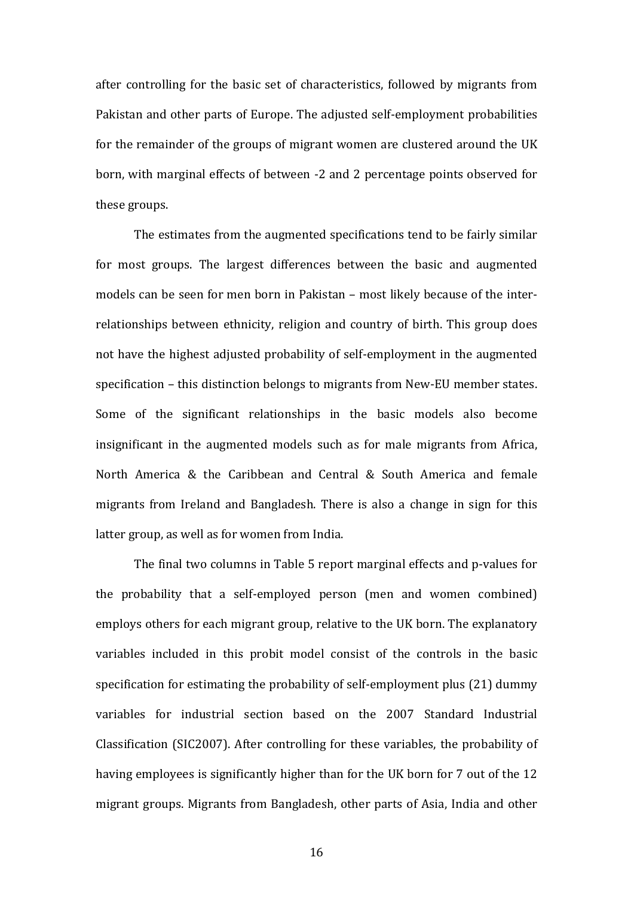after controlling for the basic set of characteristics, followed by migrants from Pakistan and other parts of Europe. The adjusted self-employment probabilities for the remainder of the groups of migrant women are clustered around the UK born, with marginal effects of between -2 and 2 percentage points observed for these groups.

The estimates from the augmented specifications tend to be fairly similar for most groups. The largest differences between the basic and augmented models can be seen for men born in Pakistan – most likely because of the interrelationships between ethnicity, religion and country of birth. This group does not have the highest adjusted probability of self-employment in the augmented specification – this distinction belongs to migrants from New-EU member states. Some of the significant relationships in the basic models also become insignificant in the augmented models such as for male migrants from Africa, North America  $&$  the Caribbean and Central  $&$  South America and female migrants from Ireland and Bangladesh. There is also a change in sign for this latter group, as well as for women from India.

The final two columns in Table 5 report marginal effects and p-values for the probability that a self-employed person (men and women combined) employs others for each migrant group, relative to the UK born. The explanatory variables included in this probit model consist of the controls in the basic specification for estimating the probability of self-employment plus  $(21)$  dummy variables for industrial section based on the 2007 Standard Industrial Classification (SIC2007). After controlling for these variables, the probability of having employees is significantly higher than for the UK born for 7 out of the 12 migrant groups. Migrants from Bangladesh, other parts of Asia, India and other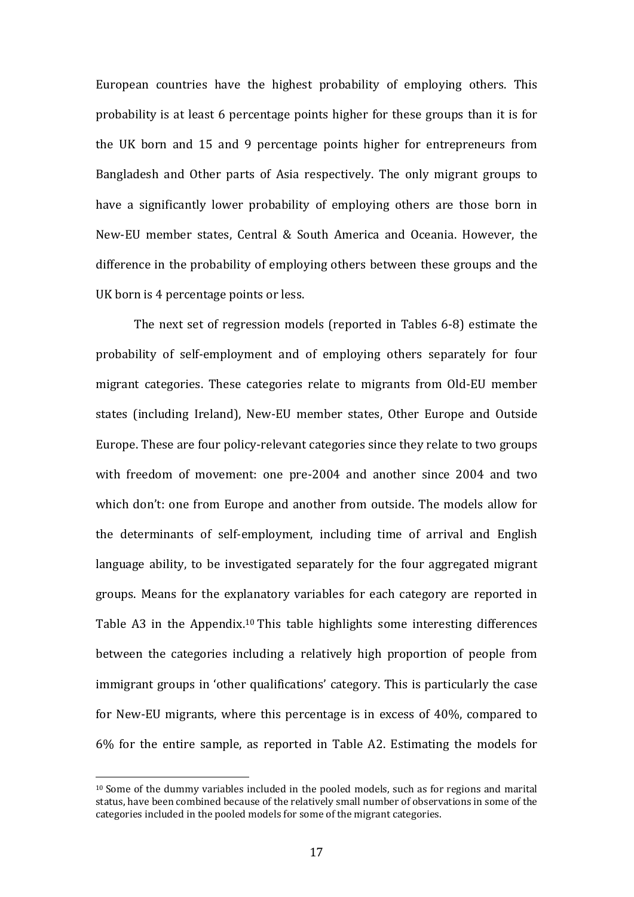European countries have the highest probability of employing others. This probability is at least 6 percentage points higher for these groups than it is for the UK born and 15 and 9 percentage points higher for entrepreneurs from Bangladesh and Other parts of Asia respectively. The only migrant groups to have a significantly lower probability of employing others are those born in New-EU member states, Central & South America and Oceania. However, the difference in the probability of employing others between these groups and the UK born is 4 percentage points or less.

The next set of regression models (reported in Tables 6-8) estimate the probability of self-employment and of employing others separately for four migrant categories. These categories relate to migrants from Old-EU member states (including Ireland), New-EU member states, Other Europe and Outside Europe. These are four policy-relevant categories since they relate to two groups with freedom of movement: one pre-2004 and another since 2004 and two which don't: one from Europe and another from outside. The models allow for the determinants of self-employment, including time of arrival and English language ability, to be investigated separately for the four aggregated migrant groups. Means for the explanatory variables for each category are reported in Table  $A3$  in the Appendix.<sup>10</sup> This table highlights some interesting differences between the categories including a relatively high proportion of people from immigrant groups in 'other qualifications' category. This is particularly the case for New-EU migrants, where this percentage is in excess of  $40\%$ , compared to  $6\%$  for the entire sample, as reported in Table A2. Estimating the models for

 $10$  Some of the dummy variables included in the pooled models, such as for regions and marital status, have been combined because of the relatively small number of observations in some of the categories included in the pooled models for some of the migrant categories.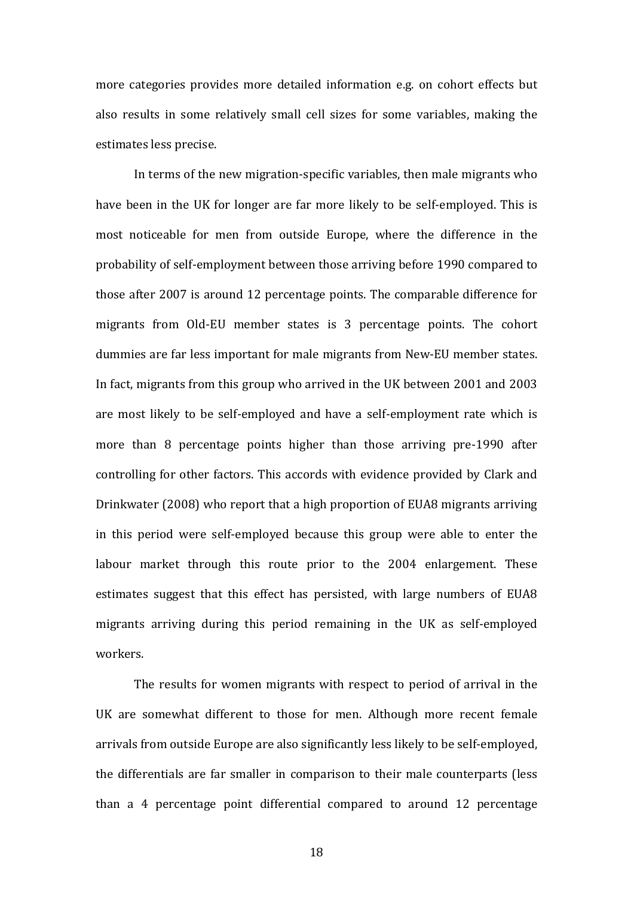more categories provides more detailed information e.g. on cohort effects but also results in some relatively small cell sizes for some variables, making the estimates less precise.

In terms of the new migration-specific variables, then male migrants who have been in the UK for longer are far more likely to be self-employed. This is most noticeable for men from outside Europe, where the difference in the probability of self-employment between those arriving before 1990 compared to those after 2007 is around 12 percentage points. The comparable difference for migrants from Old-EU member states is 3 percentage points. The cohort dummies are far less important for male migrants from New-EU member states. In fact, migrants from this group who arrived in the UK between 2001 and 2003 are most likely to be self-employed and have a self-employment rate which is more than  $8$  percentage points higher than those arriving pre-1990 after controlling for other factors. This accords with evidence provided by Clark and Drinkwater (2008) who report that a high proportion of EUA8 migrants arriving in this period were self-employed because this group were able to enter the labour market through this route prior to the 2004 enlargement. These estimates suggest that this effect has persisted, with large numbers of EUA8 migrants arriving during this period remaining in the UK as self-employed workers. 

The results for women migrants with respect to period of arrival in the UK are somewhat different to those for men. Although more recent female arrivals from outside Europe are also significantly less likely to be self-employed, the differentials are far smaller in comparison to their male counterparts (less than a 4 percentage point differential compared to around  $12$  percentage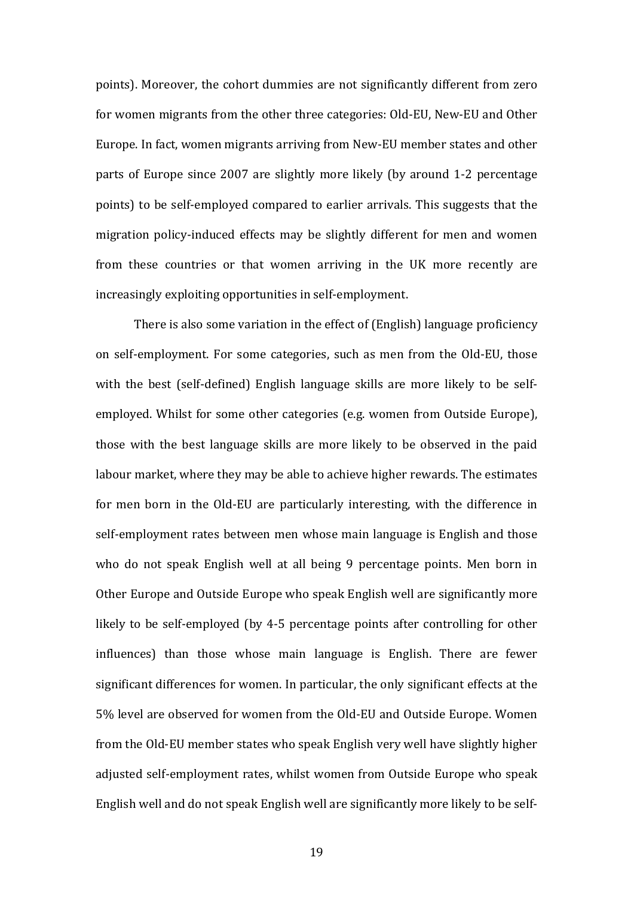points). Moreover, the cohort dummies are not significantly different from zero for women migrants from the other three categories: Old-EU, New-EU and Other Europe. In fact, women migrants arriving from New-EU member states and other parts of Europe since 2007 are slightly more likely (by around 1-2 percentage points) to be self-employed compared to earlier arrivals. This suggests that the migration policy-induced effects may be slightly different for men and women from these countries or that women arriving in the UK more recently are increasingly exploiting opportunities in self-employment.

There is also some variation in the effect of (English) language proficiency on self-employment. For some categories, such as men from the Old-EU, those with the best (self-defined) English language skills are more likely to be selfemployed. Whilst for some other categories (e.g. women from Outside Europe), those with the best language skills are more likely to be observed in the paid labour market, where they may be able to achieve higher rewards. The estimates for men born in the Old-EU are particularly interesting, with the difference in self-employment rates between men whose main language is English and those who do not speak English well at all being 9 percentage points. Men born in Other Europe and Outside Europe who speak English well are significantly more likely to be self-employed (by 4-5 percentage points after controlling for other influences) than those whose main language is English. There are fewer significant differences for women. In particular, the only significant effects at the 5% level are observed for women from the Old-EU and Outside Europe. Women from the Old-EU member states who speak English very well have slightly higher adjusted self-employment rates, whilst women from Outside Europe who speak English well and do not speak English well are significantly more likely to be self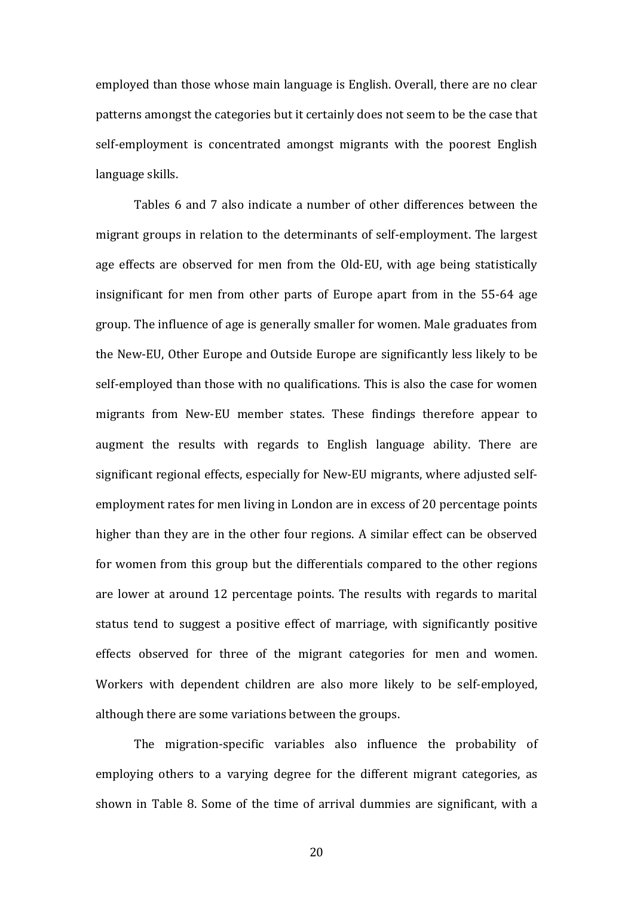employed than those whose main language is English. Overall, there are no clear patterns amongst the categories but it certainly does not seem to be the case that self-employment is concentrated amongst migrants with the poorest English language skills.

Tables 6 and 7 also indicate a number of other differences between the migrant groups in relation to the determinants of self-employment. The largest age effects are observed for men from the Old-EU, with age being statistically insignificant for men from other parts of Europe apart from in the 55-64 age group. The influence of age is generally smaller for women. Male graduates from the New-EU, Other Europe and Outside Europe are significantly less likely to be self-employed than those with no qualifications. This is also the case for women migrants from New-EU member states. These findings therefore appear to augment the results with regards to English language ability. There are significant regional effects, especially for New-EU migrants, where adjusted selfemployment rates for men living in London are in excess of 20 percentage points higher than they are in the other four regions. A similar effect can be observed for women from this group but the differentials compared to the other regions are lower at around 12 percentage points. The results with regards to marital status tend to suggest a positive effect of marriage, with significantly positive effects observed for three of the migrant categories for men and women. Workers with dependent children are also more likely to be self-employed, although there are some variations between the groups.

The migration-specific variables also influence the probability of employing others to a varying degree for the different migrant categories, as shown in Table 8. Some of the time of arrival dummies are significant, with a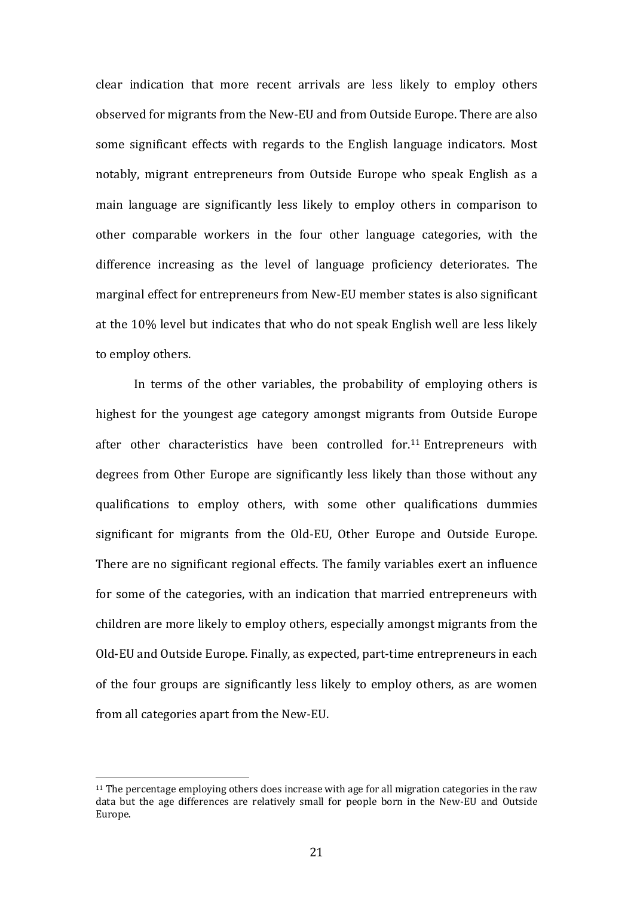clear indication that more recent arrivals are less likely to employ others observed for migrants from the New-EU and from Outside Europe. There are also some significant effects with regards to the English language indicators. Most notably, migrant entrepreneurs from Outside Europe who speak English as a main language are significantly less likely to employ others in comparison to other comparable workers in the four other language categories, with the difference increasing as the level of language proficiency deteriorates. The marginal effect for entrepreneurs from New-EU member states is also significant at the 10% level but indicates that who do not speak English well are less likely to employ others.

In terms of the other variables, the probability of employing others is highest for the voungest age category amongst migrants from Outside Europe after other characteristics have been controlled for.<sup>11</sup> Entrepreneurs with degrees from Other Europe are significantly less likely than those without any qualifications to employ others, with some other qualifications dummies significant for migrants from the Old-EU, Other Europe and Outside Europe. There are no significant regional effects. The family variables exert an influence for some of the categories, with an indication that married entrepreneurs with children are more likely to employ others, especially amongst migrants from the Old-EU and Outside Europe. Finally, as expected, part-time entrepreneurs in each of the four groups are significantly less likely to employ others, as are women from all categories apart from the New-EU.

 $11$  The percentage employing others does increase with age for all migration categories in the raw data but the age differences are relatively small for people born in the New-EU and Outside Europe.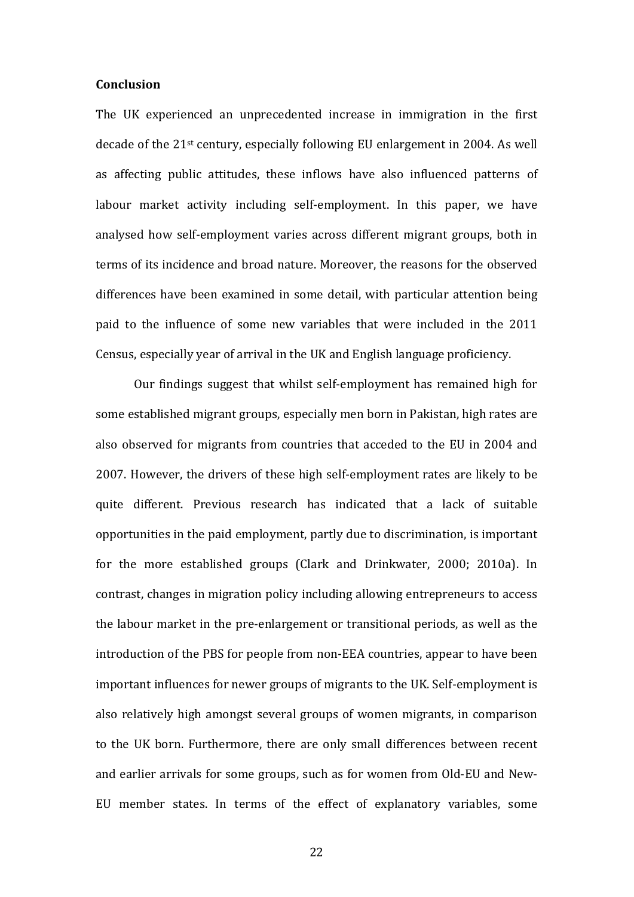#### **Conclusion**

The UK experienced an unprecedented increase in immigration in the first decade of the  $21^{st}$  century, especially following EU enlargement in 2004. As well as affecting public attitudes, these inflows have also influenced patterns of labour market activity including self-employment. In this paper, we have analysed how self-employment varies across different migrant groups, both in terms of its incidence and broad nature. Moreover, the reasons for the observed differences have been examined in some detail, with particular attention being paid to the influence of some new variables that were included in the 2011 Census, especially year of arrival in the UK and English language proficiency.

Our findings suggest that whilst self-employment has remained high for some established migrant groups, especially men born in Pakistan, high rates are also observed for migrants from countries that acceded to the EU in 2004 and 2007. However, the drivers of these high self-employment rates are likely to be quite different. Previous research has indicated that a lack of suitable opportunities in the paid employment, partly due to discrimination, is important for the more established groups (Clark and Drinkwater, 2000; 2010a). In contrast, changes in migration policy including allowing entrepreneurs to access the labour market in the pre-enlargement or transitional periods, as well as the introduction of the PBS for people from non-EEA countries, appear to have been important influences for newer groups of migrants to the UK. Self-employment is also relatively high amongst several groups of women migrants, in comparison to the UK born. Furthermore, there are only small differences between recent and earlier arrivals for some groups, such as for women from Old-EU and New-EU member states. In terms of the effect of explanatory variables, some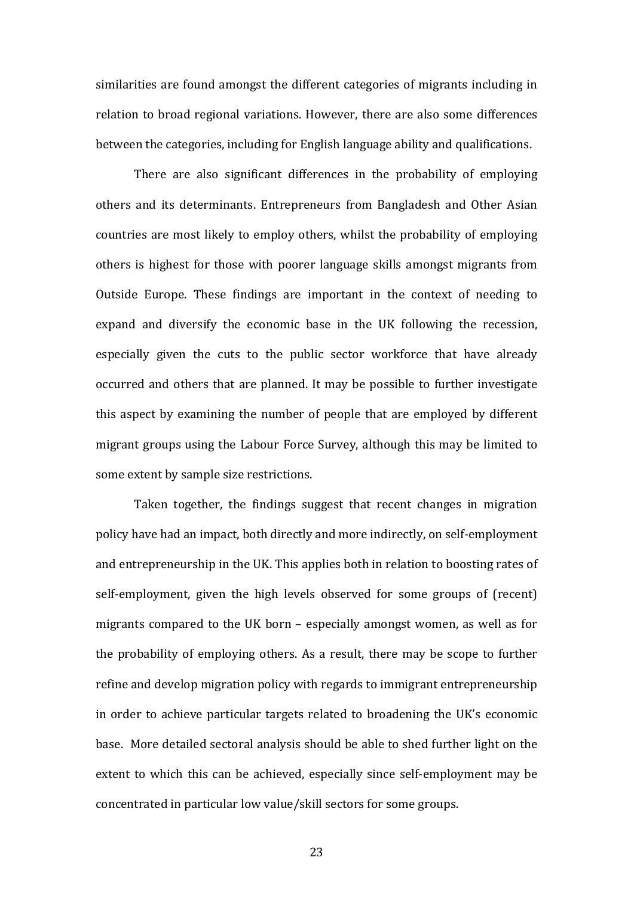similarities are found amongst the different categories of migrants including in relation to broad regional variations. However, there are also some differences between the categories, including for English language ability and qualifications.

There are also significant differences in the probability of employing others and its determinants. Entrepreneurs from Bangladesh and Other Asian countries are most likely to employ others, whilst the probability of employing others is highest for those with poorer language skills amongst migrants from Outside Europe. These findings are important in the context of needing to expand and diversify the economic base in the UK following the recession, especially given the cuts to the public sector workforce that have already occurred and others that are planned. It may be possible to further investigate this aspect by examining the number of people that are employed by different migrant groups using the Labour Force Survey, although this may be limited to some extent by sample size restrictions.

Taken together, the findings suggest that recent changes in migration policy have had an impact, both directly and more indirectly, on self-employment and entrepreneurship in the UK. This applies both in relation to boosting rates of self-employment, given the high levels observed for some groups of (recent) migrants compared to the UK born  $-$  especially amongst women, as well as for the probability of employing others. As a result, there may be scope to further refine and develop migration policy with regards to immigrant entrepreneurship in order to achieve particular targets related to broadening the UK's economic base. More detailed sectoral analysis should be able to shed further light on the extent to which this can be achieved, especially since self-employment may be concentrated in particular low value/skill sectors for some groups.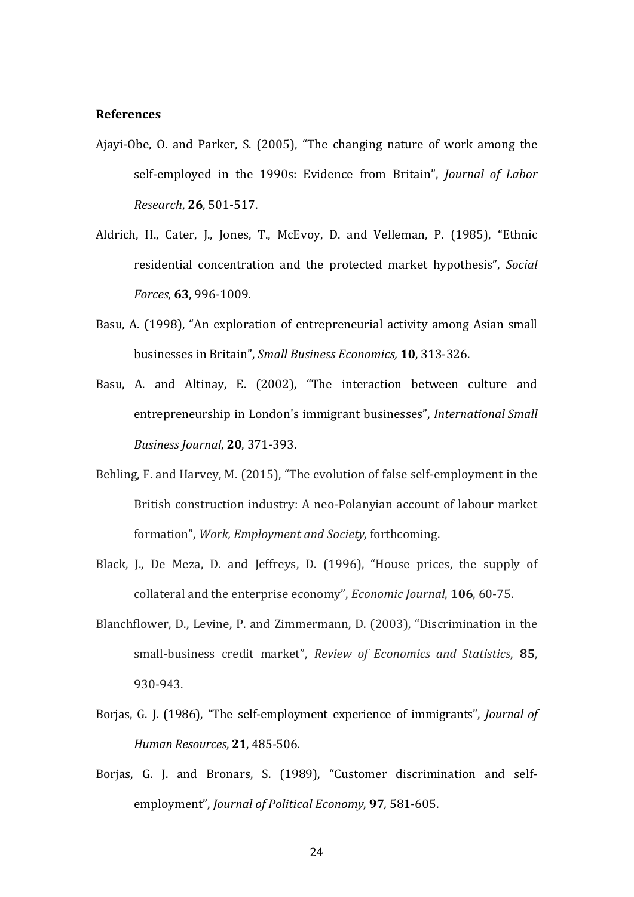#### **References**

- Ajayi-Obe, O. and Parker, S. (2005), "The changing nature of work among the self‐employed in the 1990s: Evidence from Britain", *Journal of Labor Research*, **26**, 501‐517.
- Aldrich, H., Cater, J., Jones, T., McEvoy, D. and Velleman, P. (1985), "Ethnic residential concentration and the protected market hypothesis", *Social Forces,* **63**, 996‐1009.
- Basu, A. (1998), "An exploration of entrepreneurial activity among Asian small businesses in Britain", *Small Business Economics,* **10**, 313‐326.
- Basu, A. and Altinay, E. (2002), "The interaction between culture and entrepreneurship in London's immigrant businesses", *International Small Business Journal*, **20**, 371‐393.
- Behling, F. and Harvey, M. (2015), "The evolution of false self-employment in the British construction industry: A neo-Polanyian account of labour market formation", *Work, Employment and Society,* forthcoming.
- Black, J., De Meza, D. and Jeffreys, D. (1996), "House prices, the supply of collateral and the enterprise economy", *Economic Journal*, **106**, 60-75.
- Blanchflower, D., Levine, P. and Zimmermann, D. (2003), "Discrimination in the small‐business credit market", *Review of Economics and Statistics*, **85**, 930‐943.
- Borjas, G. J. (1986), "The self-employment experience of immigrants", *Journal of Human Resources*, **21**, 485‐506.
- Borjas, G. J. and Bronars, S. (1989), "Customer discrimination and selfemployment", *Journal of Political Economy*, 97, 581-605.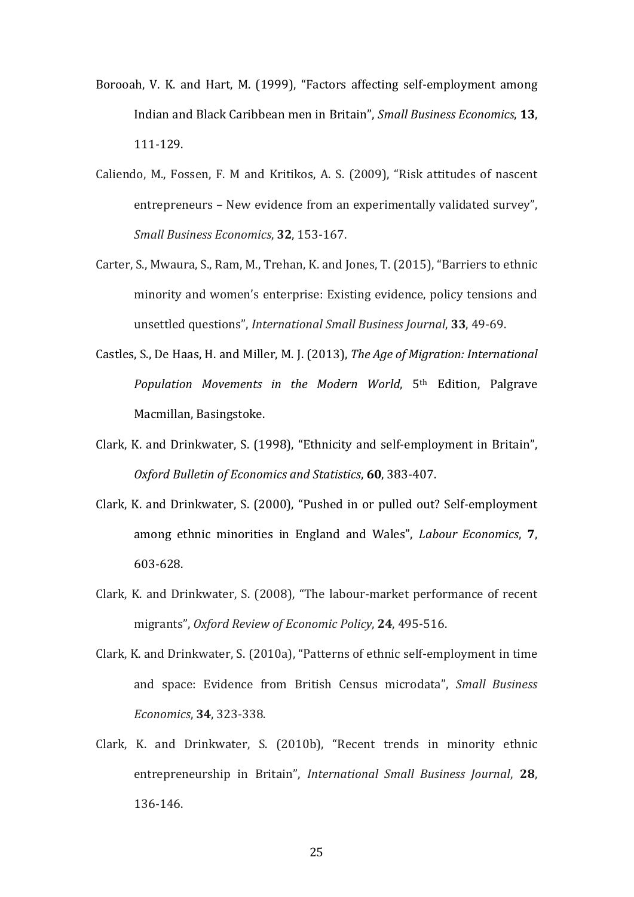- Borooah, V. K. and Hart, M. (1999), "Factors affecting self-employment among Indian and Black Caribbean men in Britain", *Small Business Economics*, **13**, 111‐129.
- Caliendo, M., Fossen, F. M and Kritikos, A. S. (2009), "Risk attitudes of nascent entrepreneurs – New evidence from an experimentally validated survey". *Small Business Economics*, **32**, 153‐167.
- Carter, S., Mwaura, S., Ram, M., Trehan, K. and Jones, T. (2015), "Barriers to ethnic minority and women's enterprise: Existing evidence, policy tensions and unsettled questions", *International Small Business Journal*, **33**, 49‐69.
- Castles, S., De Haas, H. and Miller, M. J. (2013), *The Age of Migration: International Population Movements in the Modern World*, 5th Edition, Palgrave Macmillan, Basingstoke.
- Clark, K. and Drinkwater, S. (1998), "Ethnicity and self-employment in Britain", *Oxford Bulletin of Economics and Statistics*, **60**, 383‐407.
- Clark, K. and Drinkwater, S. (2000), "Pushed in or pulled out? Self-employment among ethnic minorities in England and Wales", *Labour Economics*, 7, 603‐628.
- Clark, K. and Drinkwater, S. (2008), "The labour-market performance of recent migrants", *Oxford Review of Economic Policy*, **24**, 495‐516.
- Clark, K. and Drinkwater, S. (2010a), "Patterns of ethnic self-employment in time and space: Evidence from British Census microdata", *Small Business Economics*, **34**, 323‐338.
- Clark, K. and Drinkwater, S. (2010b), "Recent trends in minority ethnic entrepreneurship in Britain", *International Small Business Journal*, **28**, 136‐146.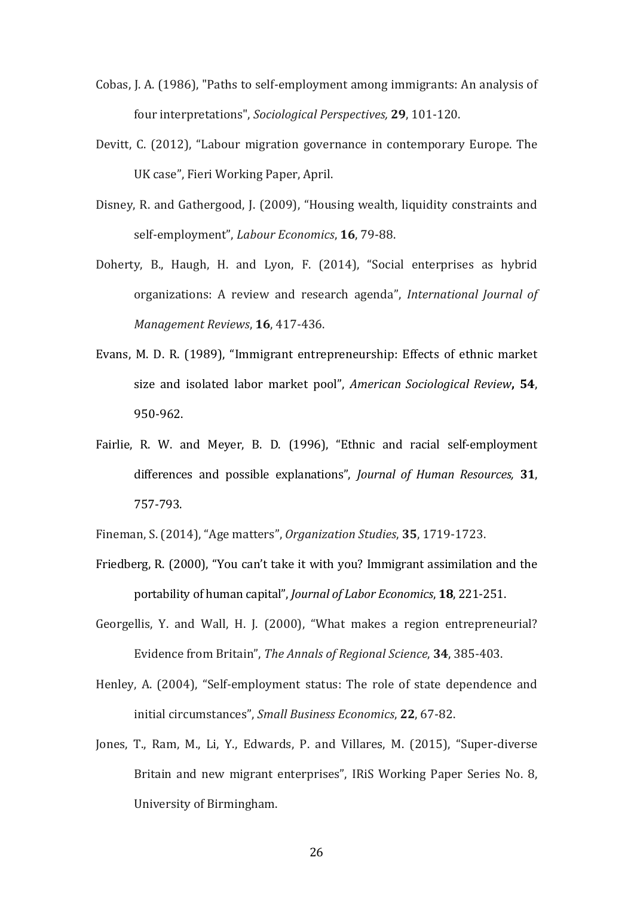- Cobas, J. A. (1986), "Paths to self-employment among immigrants: An analysis of four interpretations", *Sociological Perspectives*, **29**, 101-120.
- Devitt, C. (2012), "Labour migration governance in contemporary Europe. The UK case", Fieri Working Paper, April.
- Disney, R. and Gathergood, J. (2009), "Housing wealth, liquidity constraints and self-employment", *Labour Economics*, **16**, 79-88.
- Doherty, B., Haugh, H. and Lyon, F. (2014), "Social enterprises as hybrid organizations: A review and research agenda", *International Journal of Management Reviews*, **16**, 417-436.
- Evans, M. D. R. (1989), "Immigrant entrepreneurship: Effects of ethnic market size and isolated labor market pool", *American Sociological Review***, 54**, 950‐962.
- Fairlie, R. W. and Meyer, B. D. (1996), "Ethnic and racial self-employment differences and possible explanations", *Journal of Human Resources,* **31**, 757‐793.
- Fineman, S. (2014), "Age matters", *Organization Studies*, 35, 1719-1723.
- Friedberg, R. (2000), "You can't take it with you? Immigrant assimilation and the portability of human capital", *Journal of Labor Economics*, **18**, 221‐251.
- Georgellis, Y. and Wall, H. J. (2000), "What makes a region entrepreneurial? Evidence from Britain", The Annals of Regional Science, 34, 385-403.
- Henley, A. (2004), "Self-employment status: The role of state dependence and initial circumstances", *Small Business Economics*, 22, 67-82.
- Jones, T., Ram, M., Li, Y., Edwards, P. and Villares, M. (2015), "Super-diverse Britain and new migrant enterprises", IRiS Working Paper Series No. 8, University of Birmingham.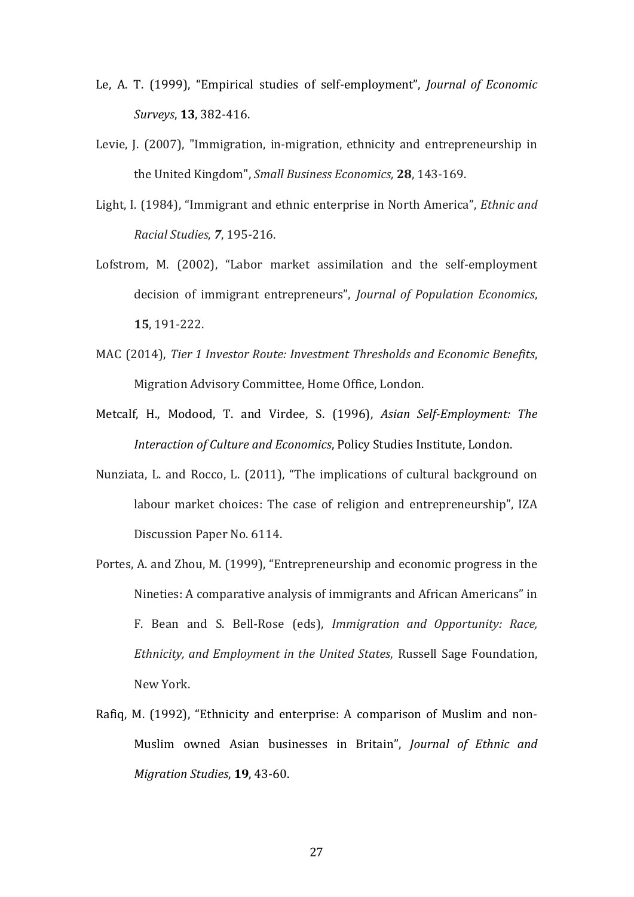- Le, A. T. (1999), "Empirical studies of self-employment", *Journal of Economic Surveys*, **13**, 382‐416.
- Levie, J. (2007), "Immigration, in-migration, ethnicity and entrepreneurship in the United Kingdom", *Small Business Economics*, **28**, 143-169.
- Light, I. (1984), "Immigrant and ethnic enterprise in North America", *Ethnic and Racial Studies*, *7*, 195‐216.
- Lofstrom, M. (2002), "Labor market assimilation and the self-employment decision of immigrant entrepreneurs", *Journal of Population Economics*, **15**, 191‐222.
- MAC (2014), *Tier 1 Investor Route: Investment Thresholds and Economic Benefits*, Migration Advisory Committee, Home Office, London.
- Metcalf, H., Modood, T. and Virdee, S. (1996), *Asian Self‐Employment: The Interaction of Culture and Economics*, Policy Studies Institute, London.
- Nunziata, L. and Rocco, L. (2011), "The implications of cultural background on labour market choices: The case of religion and entrepreneurship", IZA Discussion Paper No. 6114.
- Portes, A. and Zhou, M. (1999), "Entrepreneurship and economic progress in the Nineties: A comparative analysis of immigrants and African Americans" in F. Bean and S. Bell‐Rose (eds), *Immigration and Opportunity: Race, Ethnicity, and Employment in the United States*, Russell Sage Foundation, New York.
- Rafiq, M. (1992), "Ethnicity and enterprise: A comparison of Muslim and non-Muslim owned Asian businesses in Britain", *Journal of Ethnic and Migration Studies*, **19**, 43-60.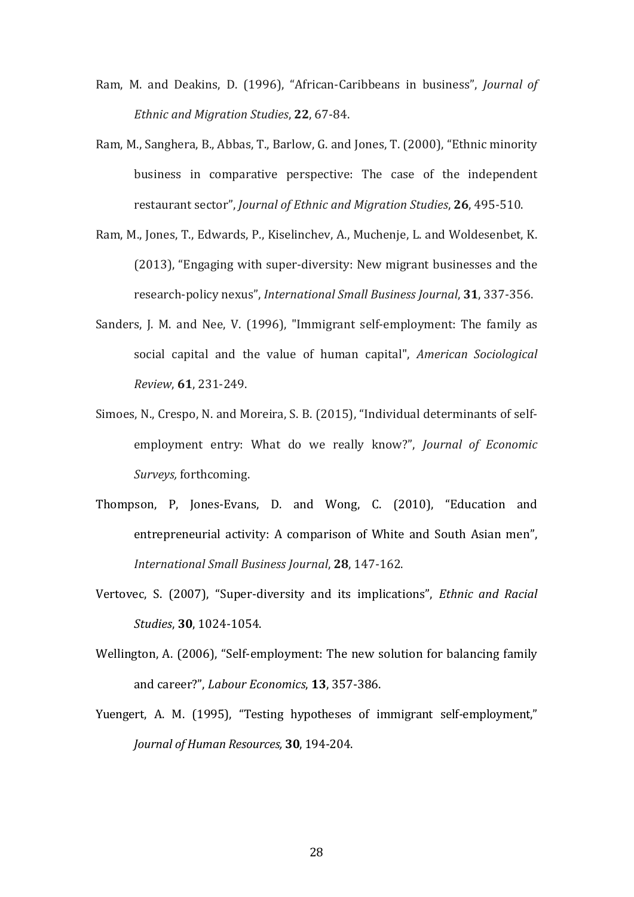- Ram, M. and Deakins, D. (1996), "African-Caribbeans in business", *Journal of Ethnic and Migration Studies*, **22**, 67‐84.
- Ram, M., Sanghera, B., Abbas, T., Barlow, G. and Jones, T. (2000), "Ethnic minority business in comparative perspective: The case of the independent restaurant sector", *Journal of Ethnic and Migration Studies*, **26**, 495‐510.
- Ram, M., Jones, T., Edwards, P., Kiselinchev, A., Muchenje, L. and Woldesenbet, K.  $(2013)$ , "Engaging with super-diversity: New migrant businesses and the research‐policy nexus", *International Small Business Journal*, **31**, 337‐356.
- Sanders, J. M. and Nee, V. (1996), "Immigrant self-employment: The family as social capital and the value of human capital", *American Sociological Review*, **61**, 231‐249.
- Simoes, N., Crespo, N. and Moreira, S. B. (2015), "Individual determinants of selfemployment entry: What do we really know?", *Journal of Economic Surveys,* forthcoming.
- Thompson, P, Jones-Evans, D. and Wong, C. (2010), "Education and entrepreneurial activity: A comparison of White and South Asian men", *International Small Business Journal*, **28**, 147‐162.
- Vertovec, S. (2007), "Super‐diversity and its implications", *Ethnic and Racial Studies*, **30**, 1024‐1054.
- Wellington, A. (2006), "Self-employment: The new solution for balancing family and career?", *Labour Economics*, **13**, 357-386.
- Yuengert, A. M. (1995), "Testing hypotheses of immigrant self-employment," *Journal of Human Resources,* **30**, 194‐204.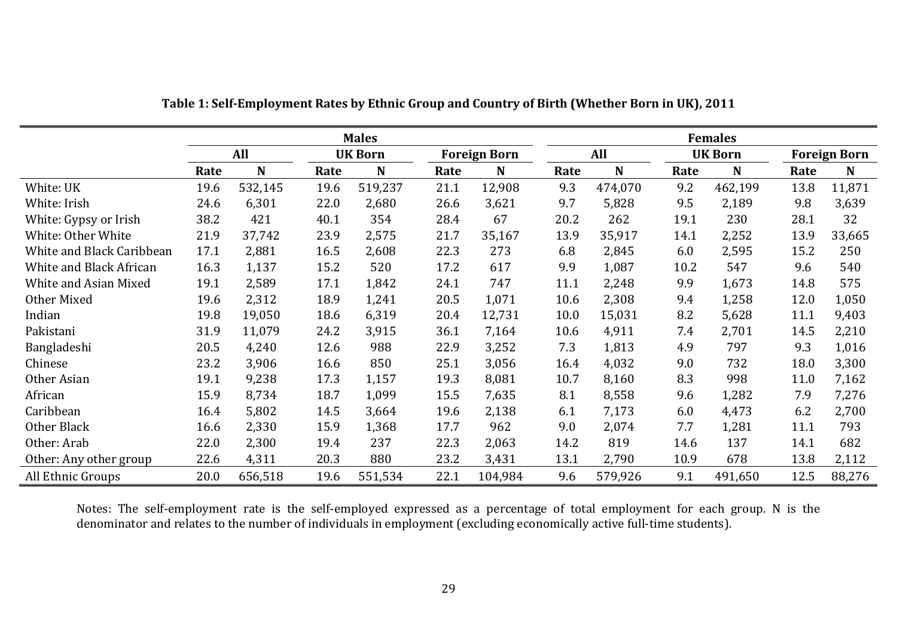|                           |      | <b>Males</b> |      |                |      |                     |            | <b>Females</b> |      |                |      |                     |  |
|---------------------------|------|--------------|------|----------------|------|---------------------|------------|----------------|------|----------------|------|---------------------|--|
|                           |      | All          |      | <b>UK Born</b> |      | <b>Foreign Born</b> | <b>All</b> |                |      | <b>UK Born</b> |      | <b>Foreign Born</b> |  |
|                           | Rate | $\mathbf N$  | Rate | $\mathbf N$    | Rate | $\mathbf N$         | Rate       | N              | Rate | N              | Rate | N                   |  |
| White: UK                 | 19.6 | 532,145      | 19.6 | 519,237        | 21.1 | 12,908              | 9.3        | 474,070        | 9.2  | 462,199        | 13.8 | 11,871              |  |
| White: Irish              | 24.6 | 6,301        | 22.0 | 2,680          | 26.6 | 3,621               | 9.7        | 5,828          | 9.5  | 2,189          | 9.8  | 3,639               |  |
| White: Gypsy or Irish     | 38.2 | 421          | 40.1 | 354            | 28.4 | 67                  | 20.2       | 262            | 19.1 | 230            | 28.1 | 32                  |  |
| White: Other White        | 21.9 | 37,742       | 23.9 | 2,575          | 21.7 | 35,167              | 13.9       | 35,917         | 14.1 | 2,252          | 13.9 | 33,665              |  |
| White and Black Caribbean | 17.1 | 2,881        | 16.5 | 2,608          | 22.3 | 273                 | 6.8        | 2,845          | 6.0  | 2,595          | 15.2 | 250                 |  |
| White and Black African   | 16.3 | 1,137        | 15.2 | 520            | 17.2 | 617                 | 9.9        | 1,087          | 10.2 | 547            | 9.6  | 540                 |  |
| White and Asian Mixed     | 19.1 | 2,589        | 17.1 | 1,842          | 24.1 | 747                 | 11.1       | 2,248          | 9.9  | 1,673          | 14.8 | 575                 |  |
| Other Mixed               | 19.6 | 2,312        | 18.9 | 1,241          | 20.5 | 1,071               | 10.6       | 2,308          | 9.4  | 1,258          | 12.0 | 1,050               |  |
| Indian                    | 19.8 | 19,050       | 18.6 | 6,319          | 20.4 | 12,731              | 10.0       | 15,031         | 8.2  | 5,628          | 11.1 | 9,403               |  |
| Pakistani                 | 31.9 | 11,079       | 24.2 | 3,915          | 36.1 | 7,164               | 10.6       | 4,911          | 7.4  | 2,701          | 14.5 | 2,210               |  |
| Bangladeshi               | 20.5 | 4,240        | 12.6 | 988            | 22.9 | 3,252               | 7.3        | 1,813          | 4.9  | 797            | 9.3  | 1,016               |  |
| Chinese                   | 23.2 | 3,906        | 16.6 | 850            | 25.1 | 3,056               | 16.4       | 4,032          | 9.0  | 732            | 18.0 | 3,300               |  |
| Other Asian               | 19.1 | 9,238        | 17.3 | 1,157          | 19.3 | 8,081               | 10.7       | 8,160          | 8.3  | 998            | 11.0 | 7,162               |  |
| African                   | 15.9 | 8,734        | 18.7 | 1,099          | 15.5 | 7,635               | 8.1        | 8,558          | 9.6  | 1,282          | 7.9  | 7,276               |  |
| Caribbean                 | 16.4 | 5,802        | 14.5 | 3,664          | 19.6 | 2,138               | 6.1        | 7,173          | 6.0  | 4,473          | 6.2  | 2,700               |  |
| Other Black               | 16.6 | 2,330        | 15.9 | 1,368          | 17.7 | 962                 | 9.0        | 2,074          | 7.7  | 1,281          | 11.1 | 793                 |  |
| Other: Arab               | 22.0 | 2,300        | 19.4 | 237            | 22.3 | 2,063               | 14.2       | 819            | 14.6 | 137            | 14.1 | 682                 |  |
| Other: Any other group    | 22.6 | 4,311        | 20.3 | 880            | 23.2 | 3,431               | 13.1       | 2,790          | 10.9 | 678            | 13.8 | 2,112               |  |
| All Ethnic Groups         | 20.0 | 656,518      | 19.6 | 551,534        | 22.1 | 104,984             | 9.6        | 579,926        | 9.1  | 491,650        | 12.5 | 88,276              |  |

**Table 1: Self‐Employment Rates by Ethnic Group and Country of Birth (Whether Born in UK), 2011**

Notes: The self-employment rate is the self-employed expressed as a percentage of total employment for each group. N is the denominator and relates to the number of individuals in employment (excluding economically active full-time students).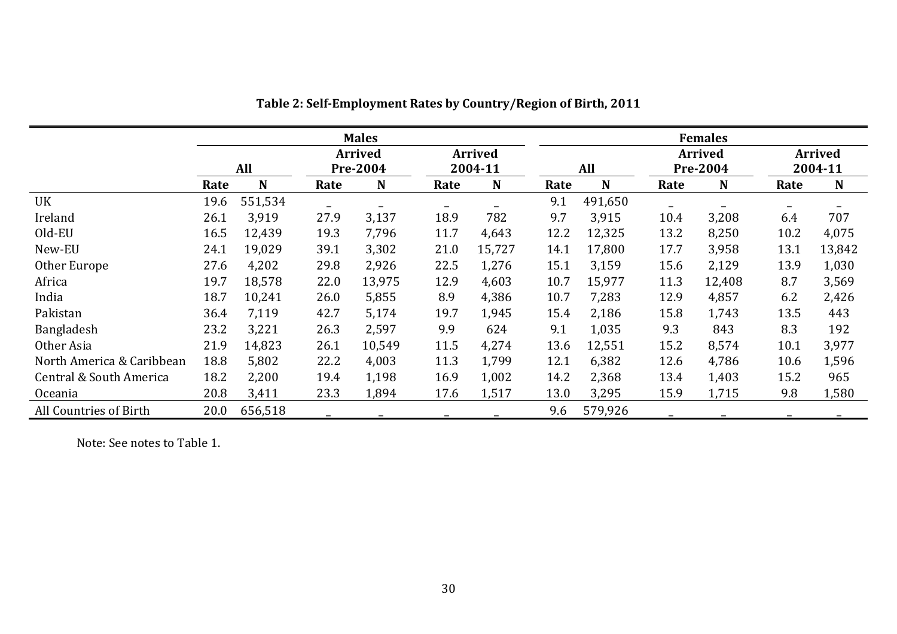|                           | <b>Males</b> |         |                 |                |                          |                |      | <b>Females</b> |                          |                 |                          |                |  |  |
|---------------------------|--------------|---------|-----------------|----------------|--------------------------|----------------|------|----------------|--------------------------|-----------------|--------------------------|----------------|--|--|
|                           |              |         |                 | <b>Arrived</b> |                          | <b>Arrived</b> |      |                |                          | <b>Arrived</b>  |                          | <b>Arrived</b> |  |  |
|                           |              | All     | <b>Pre-2004</b> |                | 2004-11                  |                |      | All            |                          | <b>Pre-2004</b> |                          | 2004-11        |  |  |
|                           | Rate         | N       | Rate            | $\mathbf N$    | Rate                     | $\mathbf N$    | Rate | N              | Rate                     | N               | Rate                     | N              |  |  |
| UK                        | 19.6         | 551,534 |                 |                | $\overline{\phantom{m}}$ |                | 9.1  | 491,650        | $\overline{\phantom{0}}$ |                 | $\overline{\phantom{a}}$ |                |  |  |
| Ireland                   | 26.1         | 3,919   | 27.9            | 3,137          | 18.9                     | 782            | 9.7  | 3,915          | 10.4                     | 3,208           | 6.4                      | 707            |  |  |
| Old-EU                    | 16.5         | 12,439  | 19.3            | 7,796          | 11.7                     | 4,643          | 12.2 | 12,325         | 13.2                     | 8,250           | 10.2                     | 4,075          |  |  |
| New-EU                    | 24.1         | 19,029  | 39.1            | 3,302          | 21.0                     | 15,727         | 14.1 | 17,800         | 17.7                     | 3,958           | 13.1                     | 13,842         |  |  |
| Other Europe              | 27.6         | 4,202   | 29.8            | 2,926          | 22.5                     | 1,276          | 15.1 | 3,159          | 15.6                     | 2,129           | 13.9                     | 1,030          |  |  |
| Africa                    | 19.7         | 18,578  | 22.0            | 13,975         | 12.9                     | 4,603          | 10.7 | 15,977         | 11.3                     | 12,408          | 8.7                      | 3,569          |  |  |
| India                     | 18.7         | 10,241  | 26.0            | 5,855          | 8.9                      | 4,386          | 10.7 | 7,283          | 12.9                     | 4,857           | 6.2                      | 2,426          |  |  |
| Pakistan                  | 36.4         | 7,119   | 42.7            | 5,174          | 19.7                     | 1,945          | 15.4 | 2,186          | 15.8                     | 1,743           | 13.5                     | 443            |  |  |
| Bangladesh                | 23.2         | 3,221   | 26.3            | 2,597          | 9.9                      | 624            | 9.1  | 1,035          | 9.3                      | 843             | 8.3                      | 192            |  |  |
| Other Asia                | 21.9         | 14,823  | 26.1            | 10,549         | 11.5                     | 4,274          | 13.6 | 12,551         | 15.2                     | 8,574           | 10.1                     | 3,977          |  |  |
| North America & Caribbean | 18.8         | 5,802   | 22.2            | 4,003          | 11.3                     | 1,799          | 12.1 | 6,382          | 12.6                     | 4,786           | 10.6                     | 1,596          |  |  |
| Central & South America   | 18.2         | 2,200   | 19.4            | 1,198          | 16.9                     | 1,002          | 14.2 | 2,368          | 13.4                     | 1,403           | 15.2                     | 965            |  |  |
| <b>Oceania</b>            | 20.8         | 3,411   | 23.3            | 1,894          | 17.6                     | 1,517          | 13.0 | 3,295          | 15.9                     | 1,715           | 9.8                      | 1,580          |  |  |
| All Countries of Birth    | 20.0         | 656,518 |                 |                |                          |                | 9.6  | 579,926        |                          |                 |                          |                |  |  |

**Table 2: Self‐Employment Rates by Country/Region of Birth, 2011**

Note: See notes to Table 1.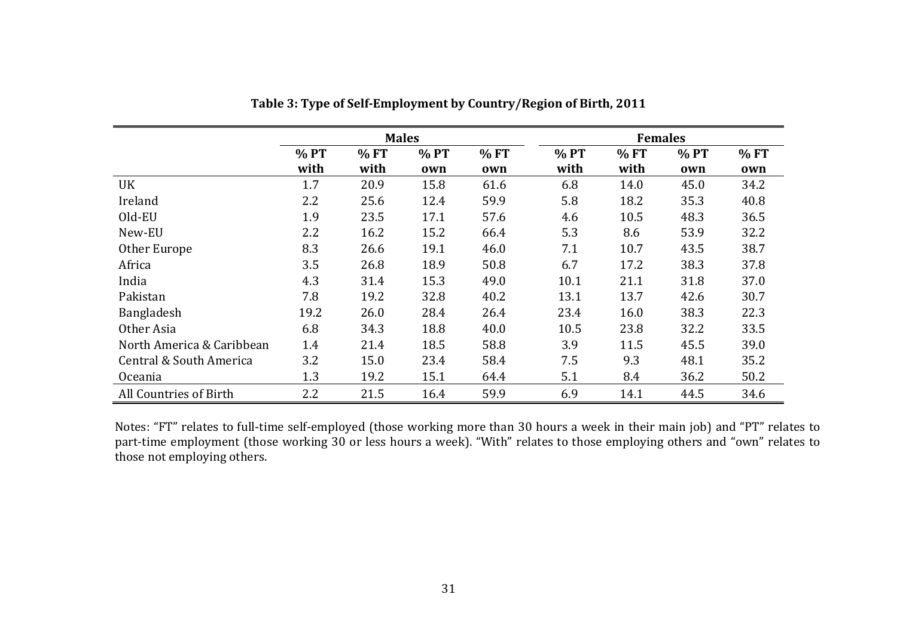|                           |      | <b>Males</b> |      |      |        | <b>Females</b> |        |      |
|---------------------------|------|--------------|------|------|--------|----------------|--------|------|
|                           | %PT  | %FT          | % PT | % FT | $%$ PT | %FT            | $%$ PT | % FT |
|                           | with | with         | own  | own  | with   | with           | own    | own  |
| UK                        | 1.7  | 20.9         | 15.8 | 61.6 | 6.8    | 14.0           | 45.0   | 34.2 |
| Ireland                   | 2.2  | 25.6         | 12.4 | 59.9 | 5.8    | 18.2           | 35.3   | 40.8 |
| Old-EU                    | 1.9  | 23.5         | 17.1 | 57.6 | 4.6    | 10.5           | 48.3   | 36.5 |
| New-EU                    | 2.2  | 16.2         | 15.2 | 66.4 | 5.3    | 8.6            | 53.9   | 32.2 |
| Other Europe              | 8.3  | 26.6         | 19.1 | 46.0 | 7.1    | 10.7           | 43.5   | 38.7 |
| Africa                    | 3.5  | 26.8         | 18.9 | 50.8 | 6.7    | 17.2           | 38.3   | 37.8 |
| India                     | 4.3  | 31.4         | 15.3 | 49.0 | 10.1   | 21.1           | 31.8   | 37.0 |
| Pakistan                  | 7.8  | 19.2         | 32.8 | 40.2 | 13.1   | 13.7           | 42.6   | 30.7 |
| Bangladesh                | 19.2 | 26.0         | 28.4 | 26.4 | 23.4   | 16.0           | 38.3   | 22.3 |
| Other Asia                | 6.8  | 34.3         | 18.8 | 40.0 | 10.5   | 23.8           | 32.2   | 33.5 |
| North America & Caribbean | 1.4  | 21.4         | 18.5 | 58.8 | 3.9    | 11.5           | 45.5   | 39.0 |
| Central & South America   | 3.2  | 15.0         | 23.4 | 58.4 | 7.5    | 9.3            | 48.1   | 35.2 |
| <b>Oceania</b>            | 1.3  | 19.2         | 15.1 | 64.4 | 5.1    | 8.4            | 36.2   | 50.2 |
| All Countries of Birth    | 2.2  | 21.5         | 16.4 | 59.9 | 6.9    | 14.1           | 44.5   | 34.6 |

**Table 3: Type of Self‐Employment by Country/Region of Birth, 2011**

Notes: "FT" relates to full-time self-employed (those working more than 30 hours a week in their main job) and "PT" relates to part-time employment (those working 30 or less hours a week). "With" relates to those employing others and "own" relates to those not employing others.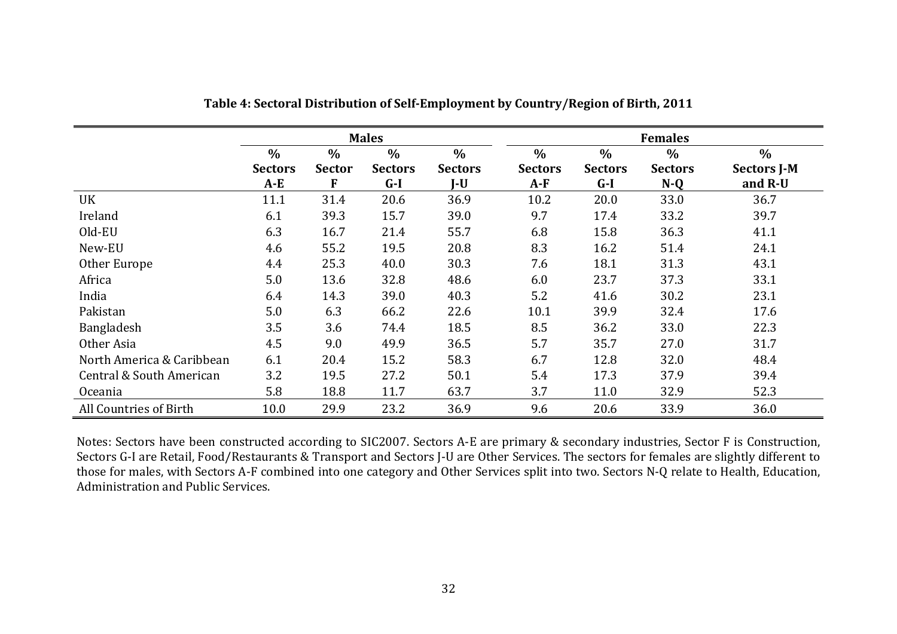|                           |                                 |                                     | <b>Males</b>                             |                                        |                                          |                                 | <b>Females</b>                  |                                       |
|---------------------------|---------------------------------|-------------------------------------|------------------------------------------|----------------------------------------|------------------------------------------|---------------------------------|---------------------------------|---------------------------------------|
|                           | $\%$<br><b>Sectors</b><br>$A-E$ | $\frac{0}{0}$<br><b>Sector</b><br>F | $\frac{0}{0}$<br><b>Sectors</b><br>$G-I$ | $\frac{0}{0}$<br><b>Sectors</b><br>J-U | $\frac{0}{0}$<br><b>Sectors</b><br>$A-F$ | $\%$<br><b>Sectors</b><br>$G-I$ | $\%$<br><b>Sectors</b><br>$N-Q$ | $\%$<br><b>Sectors J-M</b><br>and R-U |
| UK                        | 11.1                            | 31.4                                | 20.6                                     | 36.9                                   | 10.2                                     | 20.0                            | 33.0                            | 36.7                                  |
| Ireland                   | 6.1                             | 39.3                                | 15.7                                     | 39.0                                   | 9.7                                      | 17.4                            | 33.2                            | 39.7                                  |
| Old-EU                    | 6.3                             | 16.7                                | 21.4                                     | 55.7                                   | 6.8                                      | 15.8                            | 36.3                            | 41.1                                  |
| New-EU                    | 4.6                             | 55.2                                | 19.5                                     | 20.8                                   | 8.3                                      | 16.2                            | 51.4                            | 24.1                                  |
| Other Europe              | 4.4                             | 25.3                                | 40.0                                     | 30.3                                   | 7.6                                      | 18.1                            | 31.3                            | 43.1                                  |
| Africa                    | 5.0                             | 13.6                                | 32.8                                     | 48.6                                   | 6.0                                      | 23.7                            | 37.3                            | 33.1                                  |
| India                     | 6.4                             | 14.3                                | 39.0                                     | 40.3                                   | 5.2                                      | 41.6                            | 30.2                            | 23.1                                  |
| Pakistan                  | 5.0                             | 6.3                                 | 66.2                                     | 22.6                                   | 10.1                                     | 39.9                            | 32.4                            | 17.6                                  |
| Bangladesh                | 3.5                             | 3.6                                 | 74.4                                     | 18.5                                   | 8.5                                      | 36.2                            | 33.0                            | 22.3                                  |
| Other Asia                | 4.5                             | 9.0                                 | 49.9                                     | 36.5                                   | 5.7                                      | 35.7                            | 27.0                            | 31.7                                  |
| North America & Caribbean | 6.1                             | 20.4                                | 15.2                                     | 58.3                                   | 6.7                                      | 12.8                            | 32.0                            | 48.4                                  |
| Central & South American  | 3.2                             | 19.5                                | 27.2                                     | 50.1                                   | 5.4                                      | 17.3                            | 37.9                            | 39.4                                  |
| <b>Oceania</b>            | 5.8                             | 18.8                                | 11.7                                     | 63.7                                   | 3.7                                      | 11.0                            | 32.9                            | 52.3                                  |
| All Countries of Birth    | 10.0                            | 29.9                                | 23.2                                     | 36.9                                   | 9.6                                      | 20.6                            | 33.9                            | 36.0                                  |

**Table 4: Sectoral Distribution of Self‐Employment by Country/Region of Birth, 2011**

Notes: Sectors have been constructed according to SIC2007. Sectors A-E are primary & secondary industries, Sector F is Construction, Sectors G-I are Retail, Food/Restaurants & Transport and Sectors J-U are Other Services. The sectors for females are slightly different to those for males, with Sectors A-F combined into one category and Other Services split into two. Sectors N-Q relate to Health, Education, Administration and Public Services.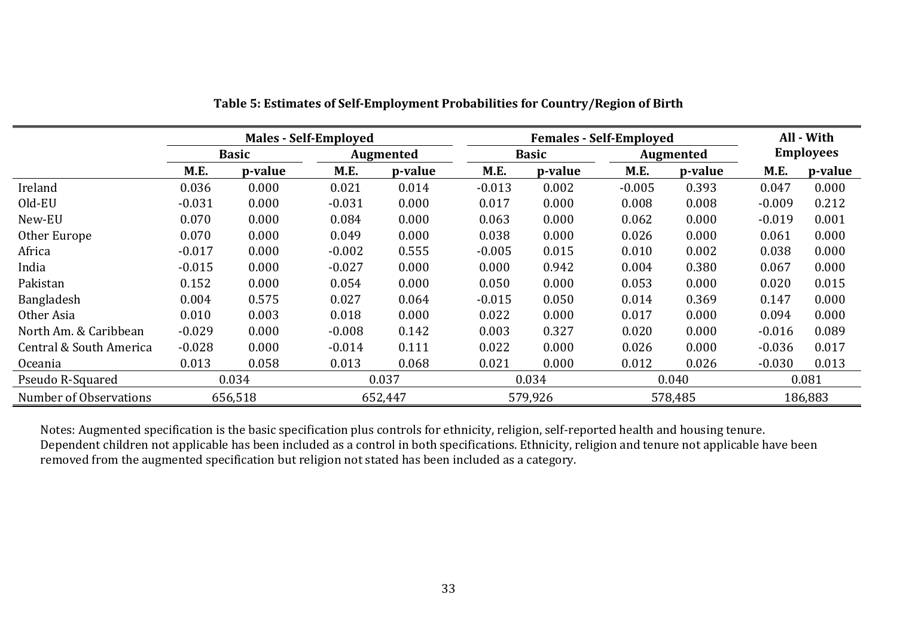|                         |          |              | <b>Males - Self-Employed</b> |                  |          |              | <b>Females - Self-Employed</b> |                  | All - With |                  |
|-------------------------|----------|--------------|------------------------------|------------------|----------|--------------|--------------------------------|------------------|------------|------------------|
|                         |          | <b>Basic</b> |                              | <b>Augmented</b> |          | <b>Basic</b> |                                | <b>Augmented</b> |            | <b>Employees</b> |
|                         | M.E.     | p-value      | M.E.                         | p-value          | M.E.     | p-value      | M.E.                           | p-value          | M.E.       | p-value          |
| Ireland                 | 0.036    | 0.000        | 0.021                        | 0.014            | $-0.013$ | 0.002        | $-0.005$                       | 0.393            | 0.047      | 0.000            |
| Old-EU                  | $-0.031$ | 0.000        | $-0.031$                     | 0.000            | 0.017    | 0.000        | 0.008                          | 0.008            | $-0.009$   | 0.212            |
| New-EU                  | 0.070    | 0.000        | 0.084                        | 0.000            | 0.063    | 0.000        | 0.062                          | 0.000            | $-0.019$   | 0.001            |
| Other Europe            | 0.070    | 0.000        | 0.049                        | 0.000            | 0.038    | 0.000        | 0.026                          | 0.000            | 0.061      | 0.000            |
| Africa                  | $-0.017$ | 0.000        | $-0.002$                     | 0.555            | $-0.005$ | 0.015        | 0.010                          | 0.002            | 0.038      | 0.000            |
| India                   | $-0.015$ | 0.000        | $-0.027$                     | 0.000            | 0.000    | 0.942        | 0.004                          | 0.380            | 0.067      | 0.000            |
| Pakistan                | 0.152    | 0.000        | 0.054                        | 0.000            | 0.050    | 0.000        | 0.053                          | 0.000            | 0.020      | 0.015            |
| Bangladesh              | 0.004    | 0.575        | 0.027                        | 0.064            | $-0.015$ | 0.050        | 0.014                          | 0.369            | 0.147      | 0.000            |
| Other Asia              | 0.010    | 0.003        | 0.018                        | 0.000            | 0.022    | 0.000        | 0.017                          | 0.000            | 0.094      | 0.000            |
| North Am. & Caribbean   | $-0.029$ | 0.000        | $-0.008$                     | 0.142            | 0.003    | 0.327        | 0.020                          | 0.000            | $-0.016$   | 0.089            |
| Central & South America | $-0.028$ | 0.000        | $-0.014$                     | 0.111            | 0.022    | 0.000        | 0.026                          | 0.000            | $-0.036$   | 0.017            |
| Oceania                 | 0.013    | 0.058        | 0.013                        | 0.068            | 0.021    | 0.000        | 0.012                          | 0.026            | $-0.030$   | 0.013            |
| Pseudo R-Squared        |          | 0.034        |                              | 0.037            |          | 0.034        |                                | 0.040            | 0.081      |                  |
| Number of Observations  |          | 656,518      |                              | 652,447          |          | 579,926      |                                | 578,485          |            | 186,883          |

Notes: Augmented specification is the basic specification plus controls for ethnicity, religion, self-reported health and housing tenure. Dependent children not applicable has been included as a control in both specifications. Ethnicity, religion and tenure not applicable have been removed from the augmented specification but religion not stated has been included as a category.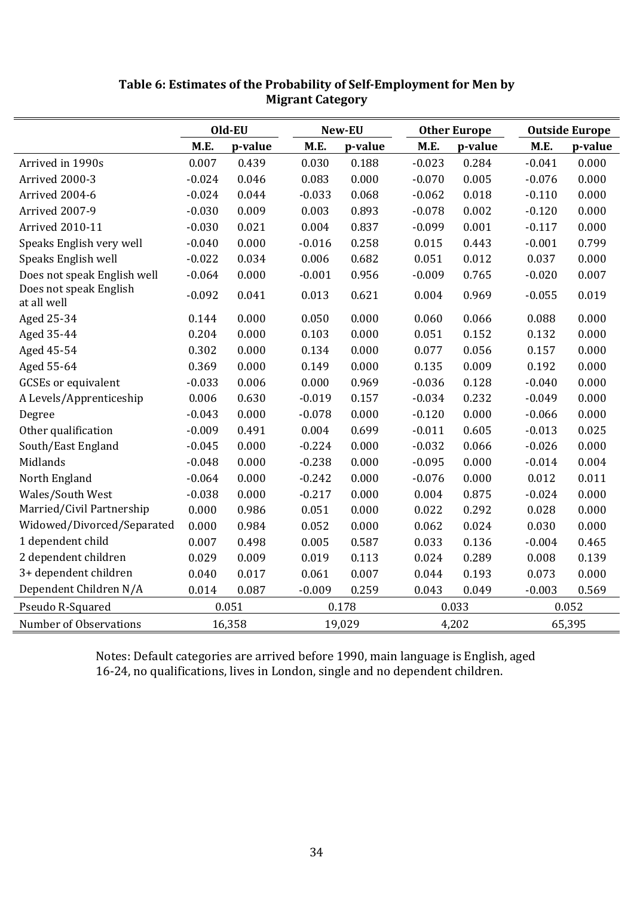|                                       |          | Old-EU  |          | New-EU  |          | <b>Other Europe</b> |          | <b>Outside Europe</b> |
|---------------------------------------|----------|---------|----------|---------|----------|---------------------|----------|-----------------------|
|                                       | M.E.     | p-value | M.E.     | p-value | M.E.     | p-value             | M.E.     | p-value               |
| Arrived in 1990s                      | 0.007    | 0.439   | 0.030    | 0.188   | $-0.023$ | 0.284               | $-0.041$ | 0.000                 |
| Arrived 2000-3                        | $-0.024$ | 0.046   | 0.083    | 0.000   | $-0.070$ | 0.005               | $-0.076$ | 0.000                 |
| Arrived 2004-6                        | $-0.024$ | 0.044   | $-0.033$ | 0.068   | $-0.062$ | 0.018               | $-0.110$ | 0.000                 |
| Arrived 2007-9                        | $-0.030$ | 0.009   | 0.003    | 0.893   | $-0.078$ | 0.002               | $-0.120$ | 0.000                 |
| <b>Arrived 2010-11</b>                | $-0.030$ | 0.021   | 0.004    | 0.837   | $-0.099$ | 0.001               | $-0.117$ | 0.000                 |
| Speaks English very well              | $-0.040$ | 0.000   | $-0.016$ | 0.258   | 0.015    | 0.443               | $-0.001$ | 0.799                 |
| Speaks English well                   | $-0.022$ | 0.034   | 0.006    | 0.682   | 0.051    | 0.012               | 0.037    | 0.000                 |
| Does not speak English well           | $-0.064$ | 0.000   | $-0.001$ | 0.956   | $-0.009$ | 0.765               | $-0.020$ | 0.007                 |
| Does not speak English<br>at all well | $-0.092$ | 0.041   | 0.013    | 0.621   | 0.004    | 0.969               | $-0.055$ | 0.019                 |
| Aged 25-34                            | 0.144    | 0.000   | 0.050    | 0.000   | 0.060    | 0.066               | 0.088    | 0.000                 |
| Aged 35-44                            | 0.204    | 0.000   | 0.103    | 0.000   | 0.051    | 0.152               | 0.132    | 0.000                 |
| Aged 45-54                            | 0.302    | 0.000   | 0.134    | 0.000   | 0.077    | 0.056               | 0.157    | 0.000                 |
| Aged 55-64                            | 0.369    | 0.000   | 0.149    | 0.000   | 0.135    | 0.009               | 0.192    | 0.000                 |
| <b>GCSEs</b> or equivalent            | $-0.033$ | 0.006   | 0.000    | 0.969   | $-0.036$ | 0.128               | $-0.040$ | 0.000                 |
| A Levels/Apprenticeship               | 0.006    | 0.630   | $-0.019$ | 0.157   | $-0.034$ | 0.232               | $-0.049$ | 0.000                 |
| Degree                                | $-0.043$ | 0.000   | $-0.078$ | 0.000   | $-0.120$ | 0.000               | $-0.066$ | 0.000                 |
| Other qualification                   | $-0.009$ | 0.491   | 0.004    | 0.699   | $-0.011$ | 0.605               | $-0.013$ | 0.025                 |
| South/East England                    | $-0.045$ | 0.000   | $-0.224$ | 0.000   | $-0.032$ | 0.066               | $-0.026$ | 0.000                 |
| Midlands                              | $-0.048$ | 0.000   | $-0.238$ | 0.000   | $-0.095$ | 0.000               | $-0.014$ | 0.004                 |
| North England                         | $-0.064$ | 0.000   | $-0.242$ | 0.000   | $-0.076$ | 0.000               | 0.012    | 0.011                 |
| Wales/South West                      | $-0.038$ | 0.000   | $-0.217$ | 0.000   | 0.004    | 0.875               | $-0.024$ | 0.000                 |
| Married/Civil Partnership             | 0.000    | 0.986   | 0.051    | 0.000   | 0.022    | 0.292               | 0.028    | 0.000                 |
| Widowed/Divorced/Separated            | 0.000    | 0.984   | 0.052    | 0.000   | 0.062    | 0.024               | 0.030    | 0.000                 |
| 1 dependent child                     | 0.007    | 0.498   | 0.005    | 0.587   | 0.033    | 0.136               | $-0.004$ | 0.465                 |
| 2 dependent children                  | 0.029    | 0.009   | 0.019    | 0.113   | 0.024    | 0.289               | 0.008    | 0.139                 |
| 3+ dependent children                 | 0.040    | 0.017   | 0.061    | 0.007   | 0.044    | 0.193               | 0.073    | 0.000                 |
| Dependent Children N/A                | 0.014    | 0.087   | $-0.009$ | 0.259   | 0.043    | 0.049               | $-0.003$ | 0.569                 |
| Pseudo R-Squared                      | 0.051    |         | 0.178    |         | 0.033    |                     | 0.052    |                       |
| Number of Observations                |          | 16,358  |          | 19,029  |          | 4,202               |          | 65,395                |

# **Table 6: Estimates of the Probability of Self‐Employment for Men by Migrant Category**

Notes: Default categories are arrived before 1990, main language is English, aged 16-24, no qualifications, lives in London, single and no dependent children.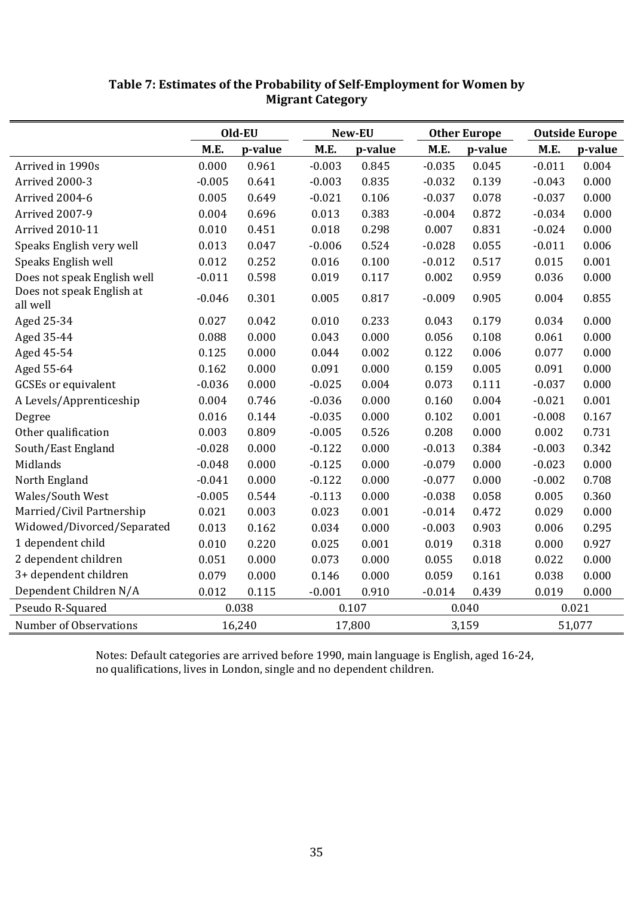|                                       |          | Old-EU  |          | New-EU  |             | <b>Other Europe</b> |          | <b>Outside Europe</b> |  |  |
|---------------------------------------|----------|---------|----------|---------|-------------|---------------------|----------|-----------------------|--|--|
|                                       | M.E.     | p-value | M.E.     | p-value | <b>M.E.</b> | p-value             | M.E.     | p-value               |  |  |
| Arrived in 1990s                      | 0.000    | 0.961   | $-0.003$ | 0.845   | $-0.035$    | 0.045               | $-0.011$ | 0.004                 |  |  |
| Arrived 2000-3                        | $-0.005$ | 0.641   | $-0.003$ | 0.835   | $-0.032$    | 0.139               | $-0.043$ | 0.000                 |  |  |
| Arrived 2004-6                        | 0.005    | 0.649   | $-0.021$ | 0.106   | $-0.037$    | 0.078               | $-0.037$ | 0.000                 |  |  |
| Arrived 2007-9                        | 0.004    | 0.696   | 0.013    | 0.383   | $-0.004$    | 0.872               | $-0.034$ | 0.000                 |  |  |
| <b>Arrived 2010-11</b>                | 0.010    | 0.451   | 0.018    | 0.298   | 0.007       | 0.831               | $-0.024$ | 0.000                 |  |  |
| Speaks English very well              | 0.013    | 0.047   | $-0.006$ | 0.524   | $-0.028$    | 0.055               | $-0.011$ | 0.006                 |  |  |
| Speaks English well                   | 0.012    | 0.252   | 0.016    | 0.100   | $-0.012$    | 0.517               | 0.015    | 0.001                 |  |  |
| Does not speak English well           | $-0.011$ | 0.598   | 0.019    | 0.117   | 0.002       | 0.959               | 0.036    | 0.000                 |  |  |
| Does not speak English at<br>all well | $-0.046$ | 0.301   | 0.005    | 0.817   | $-0.009$    | 0.905               | 0.004    | 0.855                 |  |  |
| Aged 25-34                            | 0.027    | 0.042   | 0.010    | 0.233   | 0.043       | 0.179               | 0.034    | 0.000                 |  |  |
| Aged 35-44                            | 0.088    | 0.000   | 0.043    | 0.000   | 0.056       | 0.108               | 0.061    | 0.000                 |  |  |
| Aged 45-54                            | 0.125    | 0.000   | 0.044    | 0.002   | 0.122       | 0.006               | 0.077    | 0.000                 |  |  |
| Aged 55-64                            | 0.162    | 0.000   | 0.091    | 0.000   | 0.159       | 0.005               | 0.091    | 0.000                 |  |  |
| <b>GCSEs</b> or equivalent            | $-0.036$ | 0.000   | $-0.025$ | 0.004   | 0.073       | 0.111               | $-0.037$ | 0.000                 |  |  |
| A Levels/Apprenticeship               | 0.004    | 0.746   | $-0.036$ | 0.000   | 0.160       | 0.004               | $-0.021$ | 0.001                 |  |  |
| Degree                                | 0.016    | 0.144   | $-0.035$ | 0.000   | 0.102       | 0.001               | $-0.008$ | 0.167                 |  |  |
| Other qualification                   | 0.003    | 0.809   | $-0.005$ | 0.526   | 0.208       | 0.000               | 0.002    | 0.731                 |  |  |
| South/East England                    | $-0.028$ | 0.000   | $-0.122$ | 0.000   | $-0.013$    | 0.384               | $-0.003$ | 0.342                 |  |  |
| Midlands                              | $-0.048$ | 0.000   | $-0.125$ | 0.000   | $-0.079$    | 0.000               | $-0.023$ | 0.000                 |  |  |
| North England                         | $-0.041$ | 0.000   | $-0.122$ | 0.000   | $-0.077$    | 0.000               | $-0.002$ | 0.708                 |  |  |
| Wales/South West                      | $-0.005$ | 0.544   | $-0.113$ | 0.000   | $-0.038$    | 0.058               | 0.005    | 0.360                 |  |  |
| Married/Civil Partnership             | 0.021    | 0.003   | 0.023    | 0.001   | $-0.014$    | 0.472               | 0.029    | 0.000                 |  |  |
| Widowed/Divorced/Separated            | 0.013    | 0.162   | 0.034    | 0.000   | $-0.003$    | 0.903               | 0.006    | 0.295                 |  |  |
| 1 dependent child                     | 0.010    | 0.220   | 0.025    | 0.001   | 0.019       | 0.318               | 0.000    | 0.927                 |  |  |
| 2 dependent children                  | 0.051    | 0.000   | 0.073    | 0.000   | 0.055       | 0.018               | 0.022    | 0.000                 |  |  |
| 3+ dependent children                 | 0.079    | 0.000   | 0.146    | 0.000   | 0.059       | 0.161               | 0.038    | 0.000                 |  |  |
| Dependent Children N/A                | 0.012    | 0.115   | $-0.001$ | 0.910   | $-0.014$    | 0.439               | 0.019    | 0.000                 |  |  |
| Pseudo R-Squared                      |          | 0.038   | 0.107    |         |             | 0.040               | 0.021    |                       |  |  |
| Number of Observations                |          | 16,240  |          | 17,800  |             | 3,159               |          | 51,077                |  |  |

# **Table 7: Estimates of the Probability of Self‐Employment for Women by Migrant Category**

Notes: Default categories are arrived before 1990, main language is English, aged 16-24, no qualifications, lives in London, single and no dependent children.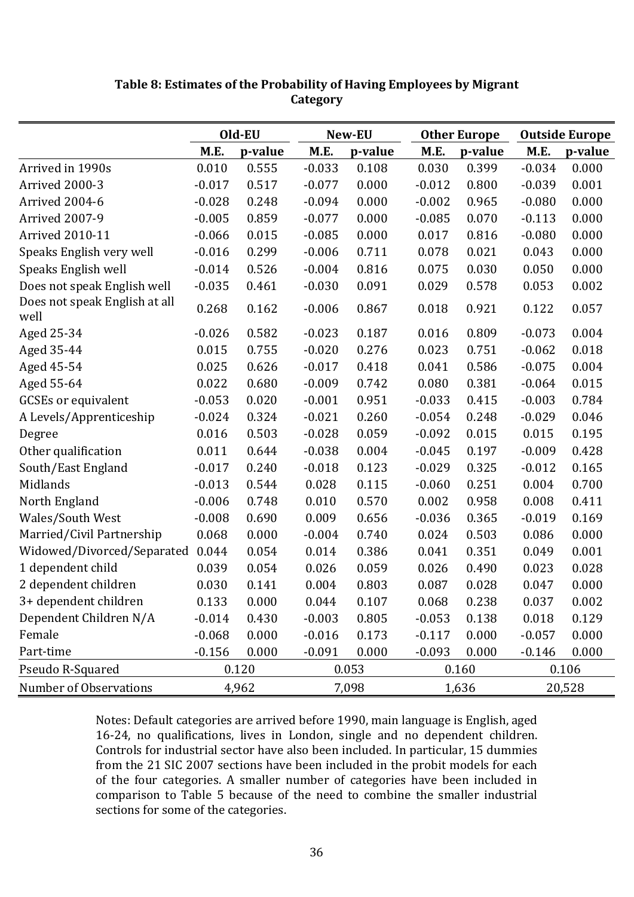|                                       |          | Old-EU  |          | New-EU  |          | <b>Other Europe</b> | <b>Outside Europe</b> |         |  |
|---------------------------------------|----------|---------|----------|---------|----------|---------------------|-----------------------|---------|--|
|                                       | M.E.     | p-value | M.E.     | p-value | M.E.     | p-value             | M.E.                  | p-value |  |
| Arrived in 1990s                      | 0.010    | 0.555   | $-0.033$ | 0.108   | 0.030    | 0.399               | $-0.034$              | 0.000   |  |
| Arrived 2000-3                        | $-0.017$ | 0.517   | $-0.077$ | 0.000   | $-0.012$ | 0.800               | $-0.039$              | 0.001   |  |
| Arrived 2004-6                        | $-0.028$ | 0.248   | $-0.094$ | 0.000   | $-0.002$ | 0.965               | $-0.080$              | 0.000   |  |
| Arrived 2007-9                        | $-0.005$ | 0.859   | $-0.077$ | 0.000   | $-0.085$ | 0.070               | $-0.113$              | 0.000   |  |
| <b>Arrived 2010-11</b>                | $-0.066$ | 0.015   | $-0.085$ | 0.000   | 0.017    | 0.816               | $-0.080$              | 0.000   |  |
| Speaks English very well              | $-0.016$ | 0.299   | $-0.006$ | 0.711   | 0.078    | 0.021               | 0.043                 | 0.000   |  |
| Speaks English well                   | $-0.014$ | 0.526   | $-0.004$ | 0.816   | 0.075    | 0.030               | 0.050                 | 0.000   |  |
| Does not speak English well           | $-0.035$ | 0.461   | $-0.030$ | 0.091   | 0.029    | 0.578               | 0.053                 | 0.002   |  |
| Does not speak English at all<br>well | 0.268    | 0.162   | $-0.006$ | 0.867   | 0.018    | 0.921               | 0.122                 | 0.057   |  |
| Aged 25-34                            | $-0.026$ | 0.582   | $-0.023$ | 0.187   | 0.016    | 0.809               | $-0.073$              | 0.004   |  |
| Aged 35-44                            | 0.015    | 0.755   | $-0.020$ | 0.276   | 0.023    | 0.751               | $-0.062$              | 0.018   |  |
| Aged 45-54                            | 0.025    | 0.626   | $-0.017$ | 0.418   | 0.041    | 0.586               | $-0.075$              | 0.004   |  |
| Aged 55-64                            | 0.022    | 0.680   | $-0.009$ | 0.742   | 0.080    | 0.381               | $-0.064$              | 0.015   |  |
| <b>GCSEs or equivalent</b>            | $-0.053$ | 0.020   | $-0.001$ | 0.951   | $-0.033$ | 0.415               | $-0.003$              | 0.784   |  |
| A Levels/Apprenticeship               | $-0.024$ | 0.324   | $-0.021$ | 0.260   | $-0.054$ | 0.248               | $-0.029$              | 0.046   |  |
| Degree                                | 0.016    | 0.503   | $-0.028$ | 0.059   | $-0.092$ | 0.015               | 0.015                 | 0.195   |  |
| Other qualification                   | 0.011    | 0.644   | $-0.038$ | 0.004   | $-0.045$ | 0.197               | $-0.009$              | 0.428   |  |
| South/East England                    | $-0.017$ | 0.240   | $-0.018$ | 0.123   | $-0.029$ | 0.325               | $-0.012$              | 0.165   |  |
| Midlands                              | $-0.013$ | 0.544   | 0.028    | 0.115   | $-0.060$ | 0.251               | 0.004                 | 0.700   |  |
| North England                         | $-0.006$ | 0.748   | 0.010    | 0.570   | 0.002    | 0.958               | 0.008                 | 0.411   |  |
| Wales/South West                      | $-0.008$ | 0.690   | 0.009    | 0.656   | $-0.036$ | 0.365               | $-0.019$              | 0.169   |  |
| Married/Civil Partnership             | 0.068    | 0.000   | $-0.004$ | 0.740   | 0.024    | 0.503               | 0.086                 | 0.000   |  |
| Widowed/Divorced/Separated            | 0.044    | 0.054   | 0.014    | 0.386   | 0.041    | 0.351               | 0.049                 | 0.001   |  |
| 1 dependent child                     | 0.039    | 0.054   | 0.026    | 0.059   | 0.026    | 0.490               | 0.023                 | 0.028   |  |
| 2 dependent children                  | 0.030    | 0.141   | 0.004    | 0.803   | 0.087    | 0.028               | 0.047                 | 0.000   |  |
| 3+ dependent children                 | 0.133    | 0.000   | 0.044    | 0.107   | 0.068    | 0.238               | 0.037                 | 0.002   |  |
| Dependent Children N/A                | $-0.014$ | 0.430   | $-0.003$ | 0.805   | $-0.053$ | 0.138               | 0.018                 | 0.129   |  |
| Female                                | $-0.068$ | 0.000   | $-0.016$ | 0.173   | $-0.117$ | 0.000               | $-0.057$              | 0.000   |  |
| Part-time                             | $-0.156$ | 0.000   | $-0.091$ | 0.000   | $-0.093$ | 0.000               | $-0.146$              | 0.000   |  |
| Pseudo R-Squared                      |          | 0.120   | 0.053    |         |          | 0.160               | 0.106                 |         |  |
| Number of Observations                |          | 4,962   |          | 7,098   |          | 1,636               | 20,528                |         |  |

**Table 8: Estimates of the Probability of Having Employees by Migrant Category**

Notes: Default categories are arrived before 1990, main language is English, aged 16-24, no qualifications, lives in London, single and no dependent children. Controls for industrial sector have also been included. In particular, 15 dummies from the 21 SIC 2007 sections have been included in the probit models for each of the four categories. A smaller number of categories have been included in comparison to Table 5 because of the need to combine the smaller industrial sections for some of the categories.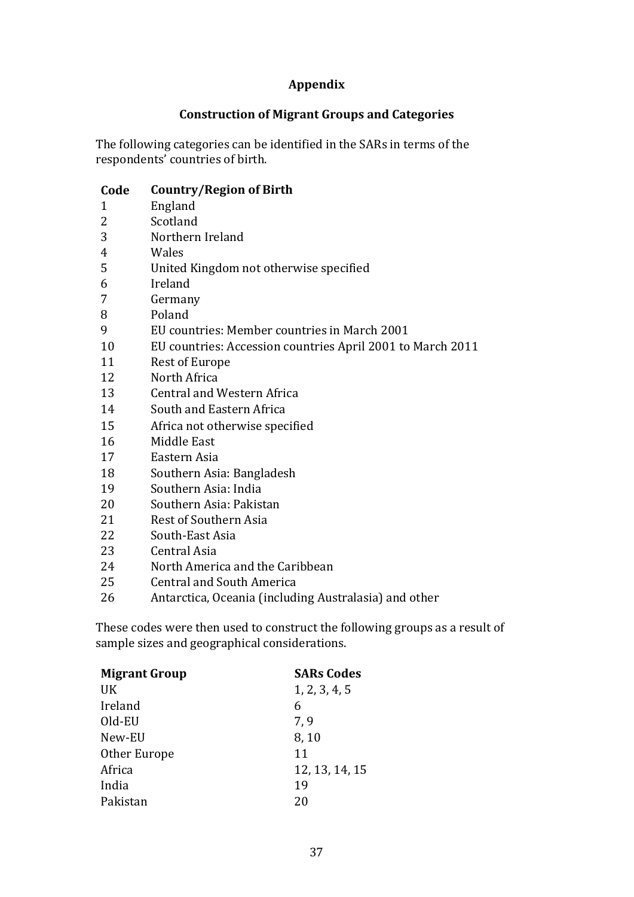### **Appendix**

### **Construction of Migrant Groups and Categories**

The following categories can be identified in the SARs in terms of the respondents' countries of birth.

### **Code Country/Region of Birth**

- 1 England
- 2 Scotland
- 3 Northern Ireland
- 4 Wales
- 5 United Kingdom not otherwise specified
- 6 Ireland
- 7 Germany
- 8 Poland
- 9 EU countries: Member countries in March 2001
- 10 EU countries: Accession countries April 2001 to March 2011
- 11 Rest of Europe
- 12 North Africa
- 13 Central and Western Africa
- 14 South and Eastern Africa
- 15 Africa not otherwise specified
- 16 Middle East
- 17 Eastern Asia
- 18 Southern Asia: Bangladesh
- 19 Southern Asia: India
- 20 Southern Asia: Pakistan
- 21 Rest of Southern Asia
- 22 South-East Asia
- 23 Central Asia
- 24 North America and the Caribbean
- 25 Central and South America
- 26 Antarctica, Oceania (including Australasia) and other

These codes were then used to construct the following groups as a result of sample sizes and geographical considerations.

| <b>Migrant Group</b> | <b>SARs Codes</b> |
|----------------------|-------------------|
| UK                   | 1, 2, 3, 4, 5     |
| Ireland              | 6                 |
| Old-EU               | 7,9               |
| New-EU               | 8,10              |
| Other Europe         | 11                |
| Africa               | 12, 13, 14, 15    |
| India                | 19                |
| Pakistan             | 20                |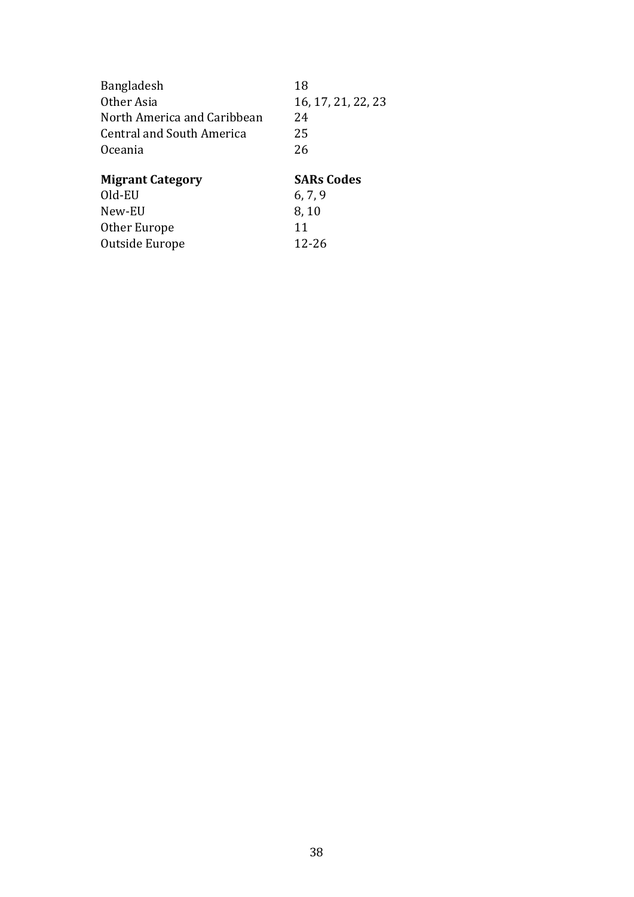| 18                 |
|--------------------|
| 16, 17, 21, 22, 23 |
| 24                 |
| 25                 |
| 26                 |
|                    |
| <b>SARs Codes</b>  |
| 6, 7, 9            |
| 8,10               |
|                    |
| 11                 |
|                    |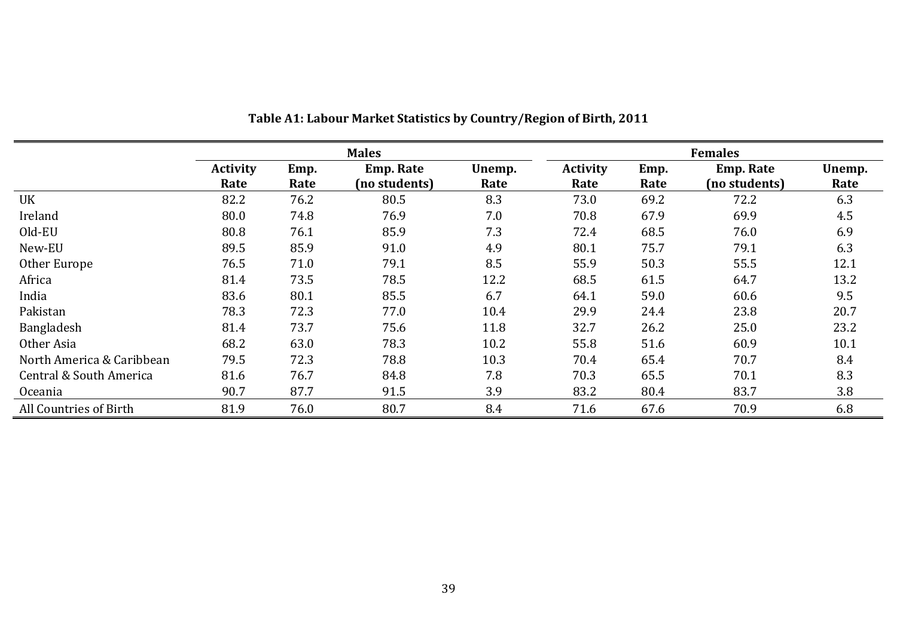|                           |                 |      | <b>Males</b>     |        |                 |      | <b>Females</b>   |        |
|---------------------------|-----------------|------|------------------|--------|-----------------|------|------------------|--------|
|                           | <b>Activity</b> | Emp. | <b>Emp. Rate</b> | Unemp. | <b>Activity</b> | Emp. | <b>Emp. Rate</b> | Unemp. |
|                           | Rate            | Rate | (no students)    | Rate   | Rate            | Rate | (no students)    | Rate   |
| UK                        | 82.2            | 76.2 | 80.5             | 8.3    | 73.0            | 69.2 | 72.2             | 6.3    |
| Ireland                   | 80.0            | 74.8 | 76.9             | 7.0    | 70.8            | 67.9 | 69.9             | 4.5    |
| Old-EU                    | 80.8            | 76.1 | 85.9             | 7.3    | 72.4            | 68.5 | 76.0             | 6.9    |
| New-EU                    | 89.5            | 85.9 | 91.0             | 4.9    | 80.1            | 75.7 | 79.1             | 6.3    |
| Other Europe              | 76.5            | 71.0 | 79.1             | 8.5    | 55.9            | 50.3 | 55.5             | 12.1   |
| Africa                    | 81.4            | 73.5 | 78.5             | 12.2   | 68.5            | 61.5 | 64.7             | 13.2   |
| India                     | 83.6            | 80.1 | 85.5             | 6.7    | 64.1            | 59.0 | 60.6             | 9.5    |
| Pakistan                  | 78.3            | 72.3 | 77.0             | 10.4   | 29.9            | 24.4 | 23.8             | 20.7   |
| Bangladesh                | 81.4            | 73.7 | 75.6             | 11.8   | 32.7            | 26.2 | 25.0             | 23.2   |
| Other Asia                | 68.2            | 63.0 | 78.3             | 10.2   | 55.8            | 51.6 | 60.9             | 10.1   |
| North America & Caribbean | 79.5            | 72.3 | 78.8             | 10.3   | 70.4            | 65.4 | 70.7             | 8.4    |
| Central & South America   | 81.6            | 76.7 | 84.8             | 7.8    | 70.3            | 65.5 | 70.1             | 8.3    |
| Oceania                   | 90.7            | 87.7 | 91.5             | 3.9    | 83.2            | 80.4 | 83.7             | 3.8    |
| All Countries of Birth    | 81.9            | 76.0 | 80.7             | 8.4    | 71.6            | 67.6 | 70.9             | 6.8    |

**Table A1: Labour Market Statistics by Country/Region of Birth, 2011**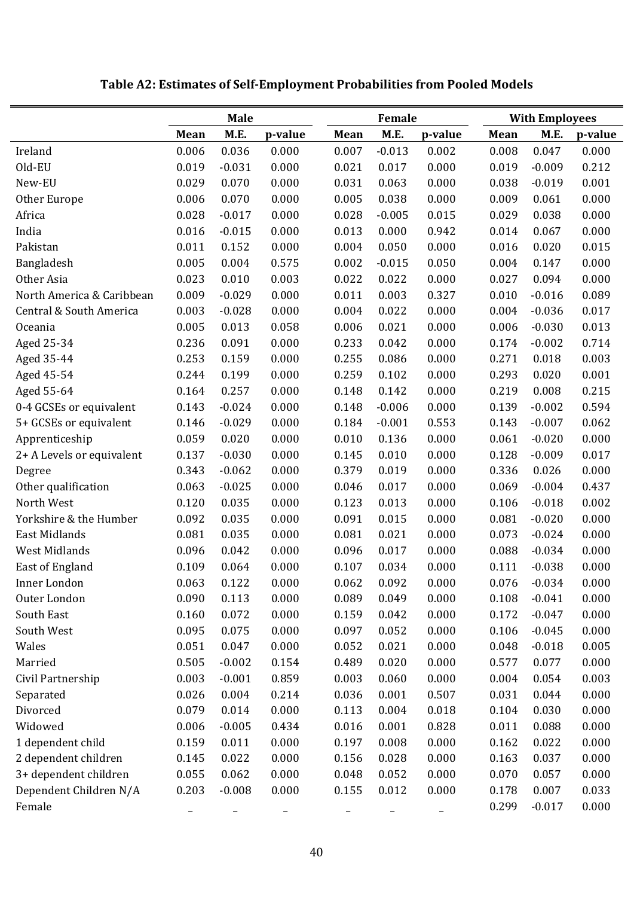|                           | <b>Male</b> |          |         |       | Female   |         | <b>With Employees</b> |          |         |  |
|---------------------------|-------------|----------|---------|-------|----------|---------|-----------------------|----------|---------|--|
|                           | Mean        | M.E.     | p-value | Mean  | M.E.     | p-value | Mean                  | M.E.     | p-value |  |
| Ireland                   | 0.006       | 0.036    | 0.000   | 0.007 | $-0.013$ | 0.002   | 0.008                 | 0.047    | 0.000   |  |
| Old-EU                    | 0.019       | $-0.031$ | 0.000   | 0.021 | 0.017    | 0.000   | 0.019                 | $-0.009$ | 0.212   |  |
| New-EU                    | 0.029       | 0.070    | 0.000   | 0.031 | 0.063    | 0.000   | 0.038                 | $-0.019$ | 0.001   |  |
| Other Europe              | 0.006       | 0.070    | 0.000   | 0.005 | 0.038    | 0.000   | 0.009                 | 0.061    | 0.000   |  |
| Africa                    | 0.028       | $-0.017$ | 0.000   | 0.028 | $-0.005$ | 0.015   | 0.029                 | 0.038    | 0.000   |  |
| India                     | 0.016       | $-0.015$ | 0.000   | 0.013 | 0.000    | 0.942   | 0.014                 | 0.067    | 0.000   |  |
| Pakistan                  | 0.011       | 0.152    | 0.000   | 0.004 | 0.050    | 0.000   | 0.016                 | 0.020    | 0.015   |  |
| Bangladesh                | 0.005       | 0.004    | 0.575   | 0.002 | $-0.015$ | 0.050   | 0.004                 | 0.147    | 0.000   |  |
| Other Asia                | 0.023       | 0.010    | 0.003   | 0.022 | 0.022    | 0.000   | 0.027                 | 0.094    | 0.000   |  |
| North America & Caribbean | 0.009       | $-0.029$ | 0.000   | 0.011 | 0.003    | 0.327   | 0.010                 | $-0.016$ | 0.089   |  |
| Central & South America   | 0.003       | $-0.028$ | 0.000   | 0.004 | 0.022    | 0.000   | 0.004                 | $-0.036$ | 0.017   |  |
| Oceania                   | 0.005       | 0.013    | 0.058   | 0.006 | 0.021    | 0.000   | 0.006                 | $-0.030$ | 0.013   |  |
| Aged 25-34                | 0.236       | 0.091    | 0.000   | 0.233 | 0.042    | 0.000   | 0.174                 | $-0.002$ | 0.714   |  |
| Aged 35-44                | 0.253       | 0.159    | 0.000   | 0.255 | 0.086    | 0.000   | 0.271                 | 0.018    | 0.003   |  |
| Aged 45-54                | 0.244       | 0.199    | 0.000   | 0.259 | 0.102    | 0.000   | 0.293                 | 0.020    | 0.001   |  |
| Aged 55-64                | 0.164       | 0.257    | 0.000   | 0.148 | 0.142    | 0.000   | 0.219                 | 0.008    | 0.215   |  |
| 0-4 GCSEs or equivalent   | 0.143       | $-0.024$ | 0.000   | 0.148 | $-0.006$ | 0.000   | 0.139                 | $-0.002$ | 0.594   |  |
| 5+ GCSEs or equivalent    | 0.146       | $-0.029$ | 0.000   | 0.184 | $-0.001$ | 0.553   | 0.143                 | $-0.007$ | 0.062   |  |
| Apprenticeship            | 0.059       | 0.020    | 0.000   | 0.010 | 0.136    | 0.000   | 0.061                 | $-0.020$ | 0.000   |  |
| 2+ A Levels or equivalent | 0.137       | $-0.030$ | 0.000   | 0.145 | 0.010    | 0.000   | 0.128                 | $-0.009$ | 0.017   |  |
| Degree                    | 0.343       | $-0.062$ | 0.000   | 0.379 | 0.019    | 0.000   | 0.336                 | 0.026    | 0.000   |  |
| Other qualification       | 0.063       | $-0.025$ | 0.000   | 0.046 | 0.017    | 0.000   | 0.069                 | $-0.004$ | 0.437   |  |
| North West                | 0.120       | 0.035    | 0.000   | 0.123 | 0.013    | 0.000   | 0.106                 | $-0.018$ | 0.002   |  |
| Yorkshire & the Humber    | 0.092       | 0.035    | 0.000   | 0.091 | 0.015    | 0.000   | 0.081                 | $-0.020$ | 0.000   |  |
| East Midlands             | 0.081       | 0.035    | 0.000   | 0.081 | 0.021    | 0.000   | 0.073                 | $-0.024$ | 0.000   |  |
| West Midlands             | 0.096       | 0.042    | 0.000   | 0.096 | 0.017    | 0.000   | 0.088                 | $-0.034$ | 0.000   |  |
| East of England           | 0.109       | 0.064    | 0.000   | 0.107 | 0.034    | 0.000   | 0.111                 | $-0.038$ | 0.000   |  |
| Inner London              | 0.063       | 0.122    | 0.000   | 0.062 | 0.092    | 0.000   | 0.076                 | $-0.034$ | 0.000   |  |
| Outer London              | 0.090       | 0.113    | 0.000   | 0.089 | 0.049    | 0.000   | 0.108                 | $-0.041$ | 0.000   |  |
| South East                | 0.160       | 0.072    | 0.000   | 0.159 | 0.042    | 0.000   | 0.172                 | $-0.047$ | 0.000   |  |
| South West                | 0.095       | 0.075    | 0.000   | 0.097 | 0.052    | 0.000   | 0.106                 | $-0.045$ | 0.000   |  |
| Wales                     | 0.051       | 0.047    | 0.000   | 0.052 | 0.021    | 0.000   | 0.048                 | $-0.018$ | 0.005   |  |
| Married                   | 0.505       | $-0.002$ | 0.154   | 0.489 | 0.020    | 0.000   | 0.577                 | 0.077    | 0.000   |  |
| Civil Partnership         | 0.003       | $-0.001$ | 0.859   | 0.003 | 0.060    | 0.000   | 0.004                 | 0.054    | 0.003   |  |
| Separated                 | 0.026       | 0.004    | 0.214   | 0.036 | 0.001    | 0.507   | 0.031                 | 0.044    | 0.000   |  |
| Divorced                  | 0.079       | 0.014    | 0.000   | 0.113 | 0.004    | 0.018   | 0.104                 | 0.030    | 0.000   |  |
| Widowed                   | 0.006       | $-0.005$ | 0.434   | 0.016 | 0.001    | 0.828   | 0.011                 | 0.088    | 0.000   |  |
| 1 dependent child         | 0.159       | 0.011    | 0.000   | 0.197 | 0.008    | 0.000   | 0.162                 | 0.022    | 0.000   |  |
| 2 dependent children      | 0.145       | 0.022    | 0.000   | 0.156 | 0.028    | 0.000   | 0.163                 | 0.037    | 0.000   |  |
| 3+ dependent children     | 0.055       | 0.062    | 0.000   | 0.048 | 0.052    | 0.000   | 0.070                 | 0.057    | 0.000   |  |
| Dependent Children N/A    | 0.203       | $-0.008$ | 0.000   | 0.155 | 0.012    | 0.000   | 0.178                 | 0.007    | 0.033   |  |
| Female                    |             |          |         |       |          |         | 0.299                 | $-0.017$ | 0.000   |  |

# **Table A2: Estimates of Self‐Employment Probabilities from Pooled Models**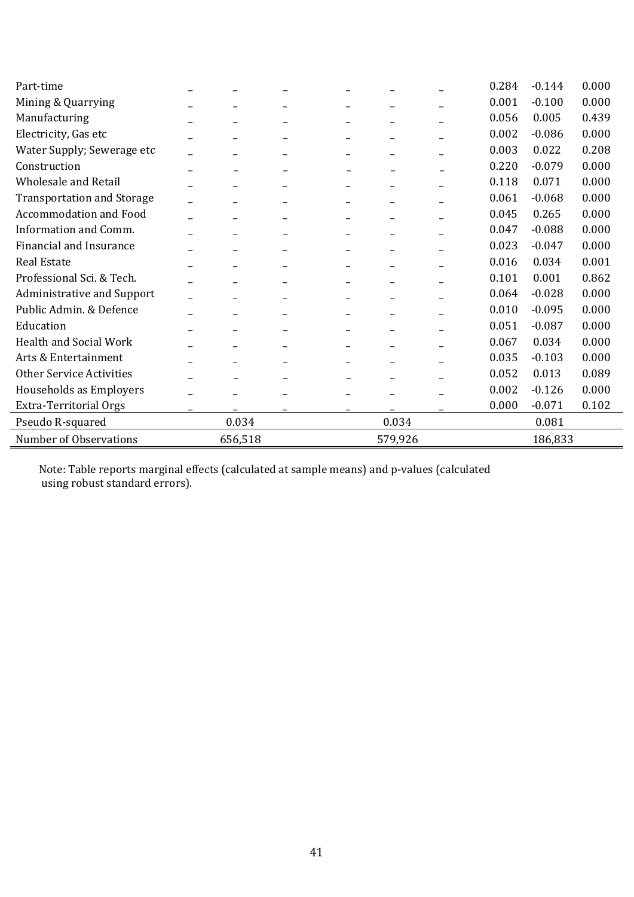| Part-time                         |         |  |  |         |  | 0.284 | $-0.144$ | 0.000 |  |
|-----------------------------------|---------|--|--|---------|--|-------|----------|-------|--|
| Mining & Quarrying                |         |  |  |         |  | 0.001 | $-0.100$ | 0.000 |  |
| Manufacturing                     |         |  |  |         |  | 0.056 | 0.005    | 0.439 |  |
| Electricity, Gas etc              |         |  |  |         |  | 0.002 | $-0.086$ | 0.000 |  |
| Water Supply; Sewerage etc        |         |  |  |         |  | 0.003 | 0.022    | 0.208 |  |
| Construction                      |         |  |  |         |  | 0.220 | $-0.079$ | 0.000 |  |
| <b>Wholesale and Retail</b>       |         |  |  |         |  | 0.118 | 0.071    | 0.000 |  |
| <b>Transportation and Storage</b> |         |  |  |         |  | 0.061 | $-0.068$ | 0.000 |  |
| Accommodation and Food            |         |  |  |         |  | 0.045 | 0.265    | 0.000 |  |
| Information and Comm.             |         |  |  |         |  | 0.047 | $-0.088$ | 0.000 |  |
| Financial and Insurance           |         |  |  |         |  | 0.023 | $-0.047$ | 0.000 |  |
| <b>Real Estate</b>                |         |  |  |         |  | 0.016 | 0.034    | 0.001 |  |
| Professional Sci. & Tech.         |         |  |  |         |  | 0.101 | 0.001    | 0.862 |  |
| Administrative and Support        |         |  |  |         |  | 0.064 | $-0.028$ | 0.000 |  |
| Public Admin. & Defence           |         |  |  |         |  | 0.010 | $-0.095$ | 0.000 |  |
| Education                         |         |  |  |         |  | 0.051 | $-0.087$ | 0.000 |  |
| <b>Health and Social Work</b>     |         |  |  |         |  | 0.067 | 0.034    | 0.000 |  |
| Arts & Entertainment              |         |  |  |         |  | 0.035 | $-0.103$ | 0.000 |  |
| <b>Other Service Activities</b>   |         |  |  |         |  | 0.052 | 0.013    | 0.089 |  |
| Households as Employers           |         |  |  |         |  | 0.002 | $-0.126$ | 0.000 |  |
| <b>Extra-Territorial Orgs</b>     |         |  |  |         |  | 0.000 | $-0.071$ | 0.102 |  |
| Pseudo R-squared                  | 0.034   |  |  | 0.034   |  |       | 0.081    |       |  |
| Number of Observations            | 656,518 |  |  | 579,926 |  |       | 186,833  |       |  |

Note: Table reports marginal effects (calculated at sample means) and p-values (calculated using robust standard errors).

l,